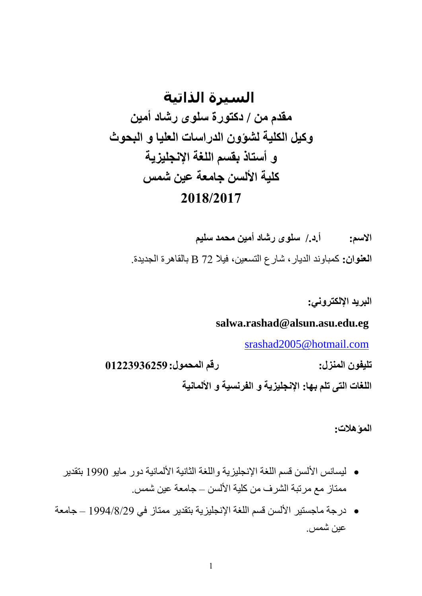# **السيرة الذاتية مقدم من / دكتورة سلوى رشاد أمين وكيل الكلية لشؤون الدراسات العليا و البحوث و أستاذ بقسم اللغة اإلنجليزية كلية األلسن جامعة عين شمس 7102/7102**

**االسم: أ.د/. سلوى رشاد أمين محمد سليم العنوان:** كمباوند الديار، شارع التسعين، فيال 27 B بالقاهرة الجديدة.

**البريد اإللكتروني:**

### **salwa.rashad@alsun.asu.edu.eg**

[srashad2005@hotmail.com](mailto:srashad2005@hotmail.com)

**تليفون المنزل: رقم المحمول10772326793:**

**اللغات التى تلم بها: اإلنجليزية و الفرنسية و األلمانية**

**المؤهالت:**

- ليسانس األلسن قسم اللغة اإلنجليزية واللغة الثانية األلمانية دور مايو 1991 بتقدير ممتاز مع مرتبة الشرف من كلية الألسن – جامعة عين شمس.
- درجة ماجستير األلسن قسم اللغة اإلنجليزية بتقدير ممتاز في 1991/8/79 جامعة عين شمس.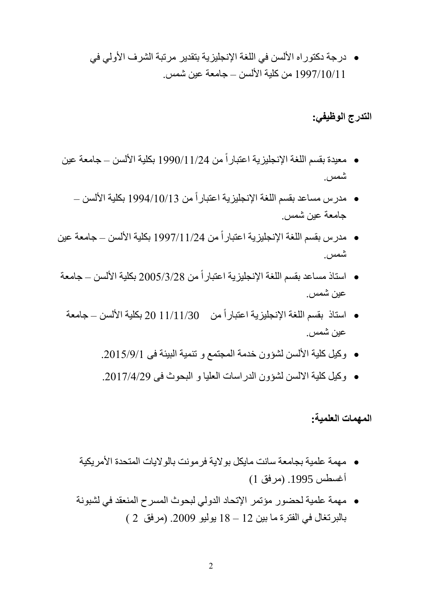درجة دكتوراه األلسن في اللغة اإلنجليزية بتقدير مرتبة الشرف األولي في 1992/11/11 من كلية األلسن – جامعة عين شمس.

**التدرج الوظيفي:**

- معيدة بقسم اللغة الإنجليزية اعتباراً من 11/24/1990 بكلية الألسن جامعة عين شمس.
	- مدر س مساعد بقسم اللغة الإنجليزية اعتباراً من 1994/10/13 بكلية الألسن جامعة عين شمس.
- مدرس بقسم اللغة الإنجليزية اعتباراً من 11/24/1997 بكلية الألسن جامعة عين شمس.
- استاذ مساعد بقسم اللغة الإنجليزية اعتباراً من 2005/3/28 بكلية الألسن ــ جامعة عين شمس.
	- استاذ بقسم اللغة الإنجليزية اعتباراً من 11/11/30 20 بكلية الألسن جامعة عين شمس.
		- وكيل كلية األلسن لشؤون خدمة المجتمع و تنمية البيئة فى .7112/9/1
		- وكيل كلية االلسن لشؤون الدراسات العليا و البحوث فى .7112/1/79

**المهمات العلمية:**

- مهمة علمية بجامعة سانت مايكل بوالية فرمونت بالواليات المتحدة األمريكية أغسطس 1995. (مرفق 1)
- مهمة علمية لحضور مؤتمر اإلتحاد الدولي لبحوث المسرح المنعقد في لشبونة بالبرتغال في الفترة ما بين 12 – 18 يوليو 2009. (مرفق 2 )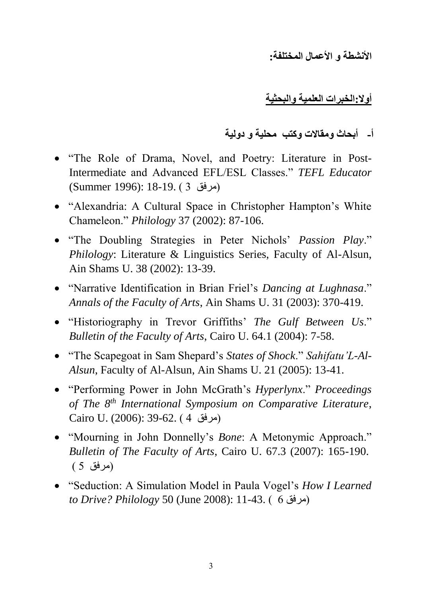**األنشطة و األعمال المختلفة:**

**أوال:الخبرات العلمية والبحثية**

## **أ- أبحاث ومقاالت وكتب محلية و دولية**

- "The Role of Drama, Novel, and Poetry: Literature in Post-Intermediate and Advanced EFL/ESL Classes." *TEFL Educator*  (مرفق 1 ) .18-19. (Summer 1996)
- "Alexandria: A Cultural Space in Christopher Hampton's White Chameleon." *Philology* 37 (2002): 87-106.
- "The Doubling Strategies in Peter Nichols' *Passion Play*." *Philology*: Literature & Linguistics Series, Faculty of Al-Alsun, Ain Shams U. 38 (2002): 13-39.
- "Narrative Identification in Brian Friel's *Dancing at Lughnasa*." *Annals of the Faculty of Arts*, Ain Shams U. 31 (2003): 370-419.
- "Historiography in Trevor Griffiths' *The Gulf Between Us*." *Bulletin of the Faculty of Arts*, Cairo U. 64.1 (2004): 7-58.
- "The Scapegoat in Sam Shepard's *States of Shock*." *Sahifatu'L-Al-Alsun*, Faculty of Al-Alsun, Ain Shams U. 21 (2005): 13-41.
- "Performing Power in John McGrath's *Hyperlynx*." *Proceedings of The 8th International Symposium on Comparative Literature*, Cairo U. (2006): 39-62. (4 مرفق)
- "Mourning in John Donnelly's *Bone*: A Metonymic Approach." *Bulletin of The Faculty of Arts*, Cairo U. 67.3 (2007): 165-190. )مرفق 2 (
- "Seduction: A Simulation Model in Paula Vogel's *How I Learned to Drive? Philology* 50 (June 2008): 11-43. ) 6 مرفق)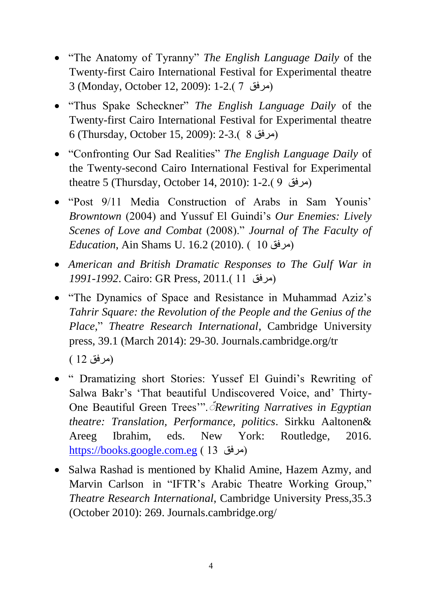- "The Anatomy of Tyranny" *The English Language Daily* of the Twenty-first Cairo International Festival for Experimental theatre 3 (Monday, October 12, 2009): 1-2.) 2 مرفق)
- "Thus Spake Scheckner" *The English Language Daily* of the Twenty-first Cairo International Festival for Experimental theatre 6 (Thursday, October 15, 2009): 2-3.) 8 مرفق)
- "Confronting Our Sad Realities" *The English Language Daily* of the Twenty-second Cairo International Festival for Experimental theatre 5 (Thursday, October 14, 2010): 1-2.) 9 مرفق)
- "Post 9/11 Media Construction of Arabs in Sam Younis' *Browntown* (2004) and Yussuf El Guindi's *Our Enemies: Lively Scenes of Love and Combat* (2008)." *Journal of The Faculty of Education*, Ain Shams U. 16.2 (2010). ( 10 مرفق)
- *American and British Dramatic Responses to The Gulf War in 1991-1992*. Cairo: GR Press, 2011.) 11 مرفق)
- "The Dynamics of Space and Resistance in Muhammad Aziz's *Tahrir Square: the Revolution of the People and the Genius of the Place,*" *Theatre Research International*, Cambridge University press, 39.1 (March 2014): 29-30. Journals.cambridge.org/tr

)مرفق 17 (

- " Dramatizing short Stories: Yussef El Guindi's Rewriting of Salwa Bakr's 'That beautiful Undiscovered Voice, and' Thirty-One Beautiful Green Trees'".ٌ *Rewriting Narratives in Egyptian theatre: Translation, Performance, politics*. Sirkku Aaltonen& Areeg Ibrahim, eds. New York: Routledge, 2016. [https://books.google.com.eg](https://books.google.com.eg/) ) 11 مرفق)
- Salwa Rashad is mentioned by Khalid Amine, Hazem Azmy, and Marvin Carlson in "IFTR's Arabic Theatre Working Group," *Theatre Research International*, Cambridge University Press,35.3 (October 2010): 269. Journals.cambridge.org/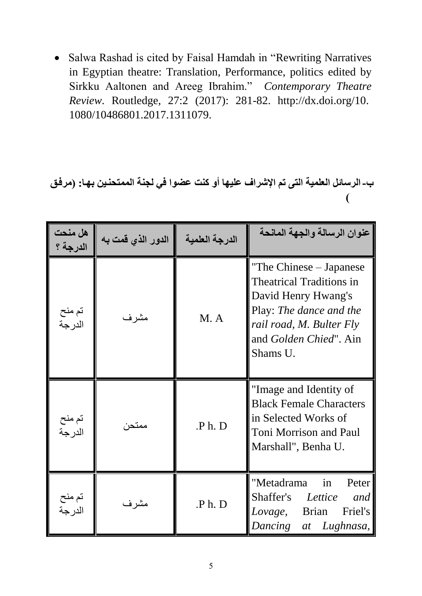Salwa Rashad is cited by Faisal Hamdah in "Rewriting Narratives in Egyptian theatre: Translation, Performance, politics edited by Sirkku Aaltonen and Areeg Ibrahim." *Contemporary Theatre Review*. Routledge, 27:2 (2017): 281-82. http://dx.doi.org/10. 1080/10486801.2017.1311079.

## **ب-الرسائل العلمية التى تم اإلشراف عليها أو كنت عضوا في لجنة الممتحنيين بهيا: )مرفي )**

| هل منحت<br>الدرجة ؟ | الدور الذي قمت به | الدرجة العلمية   | عنوان الرسالة والجهة المانحة                                                                                                                                                            |  |
|---------------------|-------------------|------------------|-----------------------------------------------------------------------------------------------------------------------------------------------------------------------------------------|--|
| تم منح<br>الدر جة   | مشر ف             | M.A              | "The Chinese – Japanese"<br><b>Theatrical Traditions in</b><br>David Henry Hwang's<br>Play: The dance and the<br>rail road, M. Bulter Fly<br>and <i>Golden Chied</i> ". Ain<br>Shams U. |  |
| نم منح<br>الدر جة   | ممتحن             | P <sub>h</sub> D | "Image and Identity of<br><b>Black Female Characters</b><br>in Selected Works of<br><b>Toni Morrison and Paul</b><br>Marshall", Benha U.                                                |  |
| تم منح<br>الدرجة    | مشرف              | .P h. D          | "Metadrama<br>in<br>Peter<br>Shaffer's<br>Lettice<br>and<br>Friel's<br><b>Brian</b><br>Lovage,<br>Dancing<br>at Lughnasa,                                                               |  |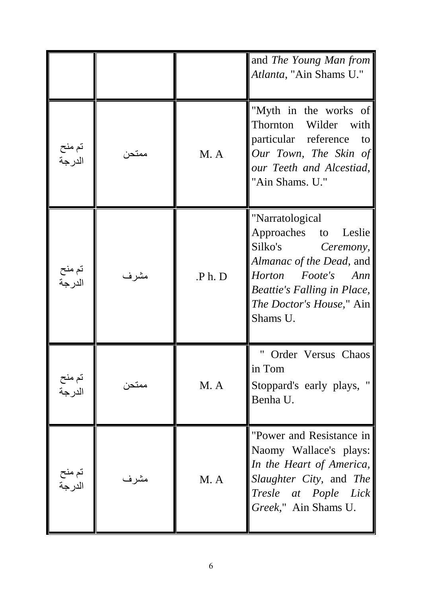|                   |       |         | and The Young Man from<br>Atlanta, "Ain Shams U."                                                                                                                                                    |
|-------------------|-------|---------|------------------------------------------------------------------------------------------------------------------------------------------------------------------------------------------------------|
| تم منح<br>الدر حة | ممتحن | M.A     | "Myth in the works of<br>Thornton<br>Wilder with<br>particular reference<br>to<br>Our Town, The Skin of<br>our Teeth and Alcestiad,<br>"Ain Shams. U."                                               |
| تم منح<br>الدر حة | مشر ف | .P h. D | "Narratological<br>Approaches to Leslie<br>Silko's Ceremony,<br>Almanac of the Dead, and<br>Horton Foote's Ann<br><i>Beattie's Falling in Place,</i><br><i>The Doctor's House</i> ," Ain<br>Shams U. |
| تم منح<br>الدرجة  | ممتحن | M. A    | Order Versus Chaos<br>in Tom<br>Stoppard's early plays, "<br>Benha U.                                                                                                                                |
| تم منح<br>الدر جة | مشرف  | M.A     | "Power and Resistance in<br>Naomy Wallace's plays:<br>In the Heart of America,<br>Slaughter City, and The<br>Tresle at Pople Lick<br>Greek," Ain Shams U.                                            |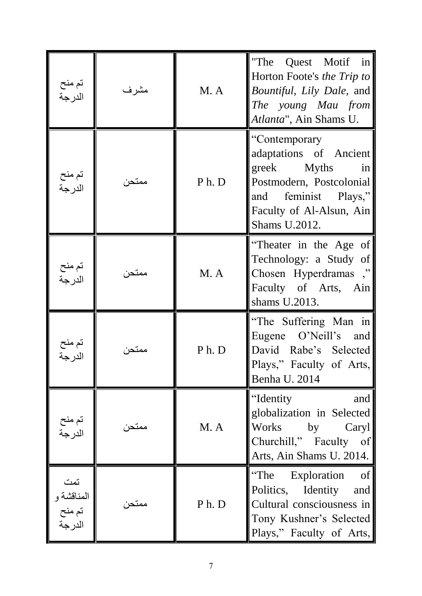| تم منح<br>الدرجة                      | مشرف   | M. A | "The Quest Motif in<br>Horton Foote's the Trip to<br><i>Bountiful, Lily Dale, and</i><br>The young Mau from<br>Atlanta", Ain Shams U.                                                        |
|---------------------------------------|--------|------|----------------------------------------------------------------------------------------------------------------------------------------------------------------------------------------------|
| تم منح<br>الدر حة                     | ممتحن  | Ph.D | "Contemporary"<br>adaptations of Ancient<br>greek Myths<br>$\overline{\text{in}}$<br>Postmodern, Postcolonial<br>feminist Plays,"<br>and<br>Faculty of Al-Alsun, Ain<br><b>Shams U.2012.</b> |
| تم منح<br>الدر جة                     | ممتحن  | M. A | "Theater in the Age of<br>Technology: a Study of<br>Chosen Hyperdramas ,"<br>Faculty of Arts, Ain<br>shams U.2013.                                                                           |
|                                       |        | Ph.D | "The Suffering Man in<br>Eugene O'Neill's and<br>David Rabe's Selected<br>Plays," Faculty of Arts,<br>Benha U. 2014                                                                          |
| تم منح<br>الدرجة                      | ممتحر· | M. A | "Identity<br>and<br>globalization in Selected<br>Works by<br>Caryl<br>Churchill," Faculty of<br>Arts, Ain Shams U. 2014.                                                                     |
| تمت<br>المناقشة و<br>تم منح<br>الدرجة | ممتحر  | Ph.D | "The Exploration<br>of<br>Politics, Identity<br>and<br>Cultural consciousness in<br>Tony Kushner's Selected<br>Plays," Faculty of Arts,                                                      |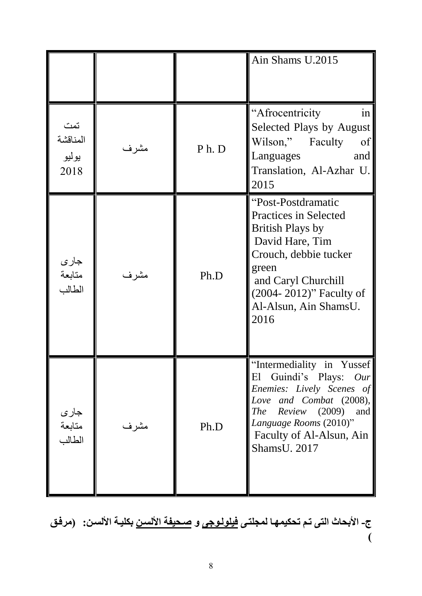|                                  |       |                  | Ain Shams U.2015                                                                                                                                                                                                                     |
|----------------------------------|-------|------------------|--------------------------------------------------------------------------------------------------------------------------------------------------------------------------------------------------------------------------------------|
| تمت<br>المناقشة<br>يوليو<br>2018 | مشرف  | P <sub>h</sub> D | "Afrocentricity<br>1n<br>Selected Plays by August<br>Wilson,"<br>Faculty<br>of<br>Languages<br>and<br>Translation, Al-Azhar U.<br>2015                                                                                               |
| جاري<br>متابعة<br>الطالب         | مشرف  | Ph.D             | "Post-Postdramatic<br><b>Practices in Selected</b><br><b>British Plays by</b><br>David Hare, Tim<br>Crouch, debbie tucker<br>green<br>and Caryl Churchill<br>(2004-2012)" Faculty of<br>Al-Alsun, Ain ShamsU.<br>2016                |
| جاري<br>متابعة<br>الطالب         | مشر ف | Ph.D             | "Intermediality in Yussef<br>El Guindi's Plays:<br>Our<br>Enemies: Lively Scenes of<br>Love and Combat (2008),<br><b>The</b><br>Review<br>(2009)<br>and<br>Language Rooms (2010)"<br>Faculty of Al-Alsun, Ain<br><b>ShamsU.</b> 2017 |

**ج- األبحاث التى تيم تحكيمهيا لمجلتيى فيلوليوجى و صيحيفة األلسين بكليية األلسين: )مرفي )**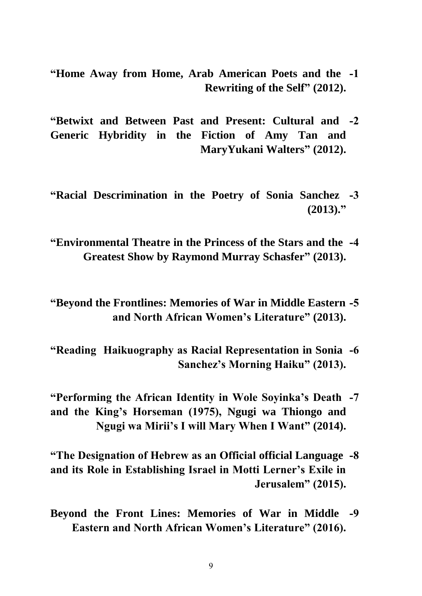- **"Home Away from Home, Arab American Poets and the -0 Rewriting of the Self" (2012).**
- **"Betwixt and Between Past and Present: Cultural and -7 Generic Hybridity in the Fiction of Amy Tan and MaryYukani Walters" (2012).**
- **"Racial Descrimination in the Poetry of Sonia Sanchez -2 (2013)."**
- **"Environmental Theatre in the Princess of the Stars and the -4 Greatest Show by Raymond Murray Schasfer" (2013).**

**"Beyond the Frontlines: Memories of War in Middle Eastern -5 and North African Women's Literature" (2013).**

- **"Reading Haikuography as Racial Representation in Sonia -6 Sanchez's Morning Haiku" (2013).**
- **"Performing the African Identity in Wole Soyinka's Death -2 and the King's Horseman (1975), Ngugi wa Thiongo and Ngugi wa Mirii's I will Mary When I Want" (2014).**
- **"The Designation of Hebrew as an Official official Language -2 and its Role in Establishing Israel in Motti Lerner's Exile in Jerusalem" (2015).**
- **Beyond the Front Lines: Memories of War in Middle -3 Eastern and North African Women's Literature" (2016).**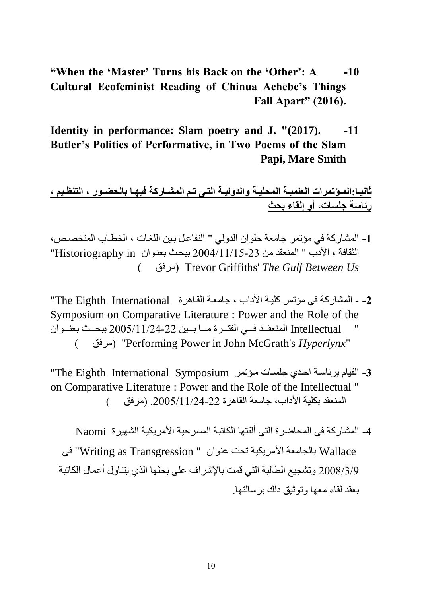- **"When the 'Master' Turns his Back on the 'Other': A -10 Cultural Ecofeminist Reading of Chinua Achebe's Things Fall Apart" (2016).**
- **Identity in performance: Slam poetry and J. "(2017).** -11 **Butler's Politics of Performative, in Two Poems of the Slam Papi, Mare Smith**

**ثانييا:الميؤتمرات العلميية المحليية والدوليية التيى تيم المشياركة فيهيا بالحضيور ت التن،ييم ت رئاسة جلساتت أو إلقاء بحث** 

- **-0** المشاركة في مؤتمر جامعة حلوان الدولي " التفاعلل بلين اللغلات ، البطلام المتب ل ، " الثقافة ، الأدب " المنعقد من 23-21/11/15-23 ببحث بعنوان Historiography in " ) مرفق )Trevor Griffiths' *The Gulf Between Us*
- **-7** المشاركة في مؤتمر كليلة اددام ، جامعلة القلاهرة International Eighth The" Symposium on Comparative Literature : Power and the Role of the Intellectual المنعقـد فــي الفتــرة مـــا بــين 22-11/24/2005 ببحــث بعنــوان ) مرفق" )Performing Power in John McGrath's *Hyperlynx*"
- **-2** القيام برئاسلة احلدج جلسلات ملؤتمر Symposium International Eighth The" on Comparative Literature : Power and the Role of the Intellectual " المنعقد بكلية الأداب، جامعة القاهرة 22-11/24/2005. (مرفق )

4- المشاركة في المحاضرة التي ألقتها الكاتبة المسرحية الأمريكية الشهيرة Naomi Wallace بالجامعة األمريكية تحت عنوان " Transgression as Writing "في 7118/1/9 وتشجيع الطالبة التي قمت باإلشراف على بحثها الذج يتناول أعمال الكاتبة بعقد لقاء معها وتوثيق ذلك برسالتها.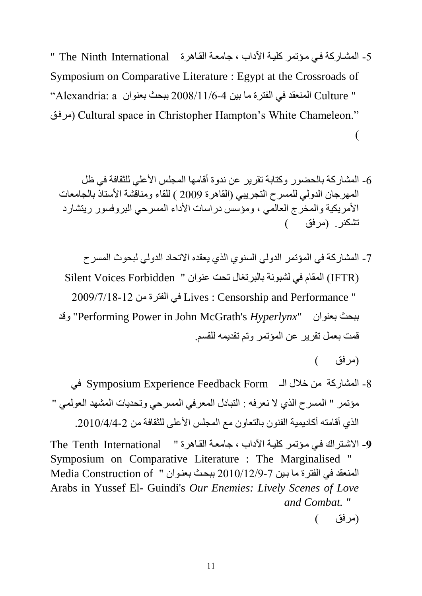- 5- المشاركة في مؤتمر كلية الآداب ، جامعة القاهرة The Ninth International " Symposium on Comparative Literature : Egypt at the Crossroads of " Culture المنعقد في الفترة ما بين 4-11/6/2008 ببحث بعنوان ه Alexandria: a' مرفلق )Cultural space in Christopher Hampton's White Chameleon."  $\overline{(}$ 
	- -6 المشاركة بالحضور وكتابة تقرير عن ندوة أقامها المجلس األعلي للثقافة في ظل المهرجان الدولي للمسرح التجريبي (القاهرة 2009 ) للقاء ومناقشة الأستاذ بالجامعات الأمريكية والمخرج العالمي ، ومؤسس دراسات الأداء المسرحي البروفسور ريتشارد تشكنر. )مرفق (
	- -2 المشاركة في المؤتمر الدولي السنوج الذج يعقده االتحاد الدولي لبحوث المسرح )IFTR )المقام في لشبونة بالبرتغال تحت عنوان " Forbidden Voices Silent 7119/2/18-17 من الفترة في Lives : Censorship and Performance " وقد" Performing Power in John McGrath's *Hyperlynx*" بعنوان ببح قمت بعمل تقرير عن المؤتمر وتم تقديمه للقسم.

)مرفق (

- -8 المشاركة من خالل الـ Form Feedback Experience Symposium في مؤتمر " المسرح الذي لا نعرفه : التبادل المعرفي المسرحي وتحديات المشهد العولمي " الذي أقامته أكاديمية الفنون بالتعاون مع المجلس الأعلى للثقافة من 2010/4/4-2010.
- 9- الاشتراك في مؤتمر كلية الأداب ، جامعة القاهرة " The Tenth International Symposium on Comparative Literature : The Marginalised " المنعقد في الفترة ما بين 7-2010/12/9 ببحث بعنوان " Media Construction of Arabs in Yussef El- Guindi's *Our Enemies: Lively Scenes of Love and Combat. "*

<sup>)</sup>مرفق (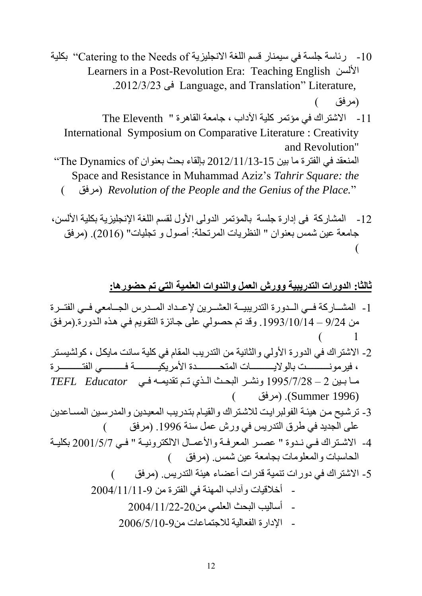- 10 رئاسة جلسة في سيمنار قسم اللغة الانجليزية Catering to the Needs of '' بكلية Learners in a Post-Revolution Era: Teaching English األلسن .7117/1/71 فى Language, and Translation" Literature, )مرفق (
	- -11 االشترا في مؤتمر كلية اددام ، جامعة القاهرة " Eleventh The International Symposium on Comparative Literature : Creativity and Revolution" المنعقد في الفترة ما بين 15-2012/11/13 بإلقاء بحث بعنوان The Dynamics of Space and Resistance in Muhammad Aziz's *Tahrir Square: the*  ) مرفق )*Revolution of the People and the Genius of the Place.*"
- 12- المشاركة فى إدارة جلسة بالمؤتمر الدولى الأول لقسم اللغة الإنجليزية بكلية الألسن، جامعة عين شمس بعنوان " النظريات المرتحلة: أصول و تجليات" (2016). (مرفق  $\overline{\mathcal{L}}$

**ثالثا: الدورات التدريبية وورش العمل والندوات العلمية التي تم حضورها:** 

- 1- المشــاركة فــي الــدورة التدريبيــة العشــرين لإعــداد المــدرس الجــامعي فــي الفتــرة من 9/24 – 1993/10/14. وقد تم حصولي على جائزة التقويم في هذه الدورة.(مرفق  $\begin{pmatrix} 1 \end{pmatrix}$
- 2- الاشتراك في الدورة الأولي والثانية من التدريب المقام في كلية سانت مايكل ، كولشيستر ، فيرمونــــــــــــن بالولايــــــــــــات المتحــــــــــــدة الأمريكيـــــــــــــة فــــــــــــى الفتـــــــــــرة مللا بللين 7 – 1992/2/78 ونشللر البحلل الللذج تللم تقديملله فللي *Educator TEFL* (مرفق) (Summer 1996).
- 3- ترشيح من هيئة الفولبرايت للاشتراك والقيام بتدريب المعيدين والمدرسين المساعدين على الجديد في طرق التدريس في ورش عمل سنة 1996. (مرفق للكس
- 4- الاشتراك في نـدوة " عصـر المعرفـة والأعمـال الالكترونيـة " فـي 711/1/200 بكليـة الحاسبات والمعلومات بجامعة عين شمس. )مرفق (
	- 5- الاشتراك في دورات تنمية قدرات أعضاء هيئة التدريس. (مرفق - أخالقيات وآدام المهنة في الفترة من 7111/11/11-9  $-2004/11/22$ -20 $-11$ أساليب البحث العلمي من - اإلدارة الفعالية لالجتماعات من7116/2/11-9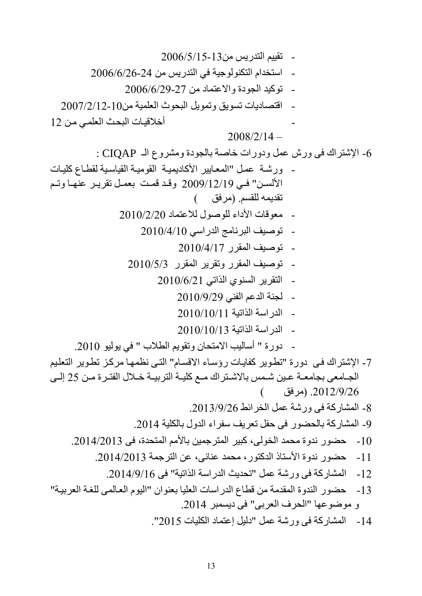- تقریم التدیس من 5006/6/26-24  
\n- استخدام التکتولجية في التدیس من 2006/6/26-24  
\n- آمتحندا واتخ 10% متوز والاعتماد سا
$$
2006/6/29-27
$$
\n2007/2/12-10-24  
\n- آقتحان وات متوز وا 2008/2/14 –  
\n- آقتحانیات 2008/2/14 –  
\n- 2007/2/12-10-24  
\n- 2008/2/14 –  
\n- 2008/2/14 –  
\n- 2008/2/14 –  
\n- 2008/2/14 –  
\n- 2008/2/14 –  
\n- 2008/2/14 –  
\n- 2008/2/14 –  
\n- 2008/2/14  
\n- 2010/4/10  
\n- 2010/12/19  
\n- 2010/4/10  
\n- 2010/4/17  
\n- 202010/4/17  
\n- 202010/4/17  
\n- 2000/17  
\n- 2010/4/17  
\n- 2010/6/21  
\n- 2010/6/21  
\n- 2010/6/21  
\n- 2010/6/21  
\n- 2010/10/113  
\n- 2010/10/114  
\n- 2010/10/113  
\n- 2010/10/113  
\n- 2010/10/114  
\n- 2010/10/115  
\n- 2010/10/116  
\n- 2010/10/117  
\n- 2012  
\n- 2013/9/28  
\n- 2014/2013  
\n- 2014/2018  
\n- 2014/2018  
\n- 2014/2018  
\n- 2014/2018  
\n- 2014/2018  
\n- 2014/2018  
\n- 2014/2018  
\n- 2014/20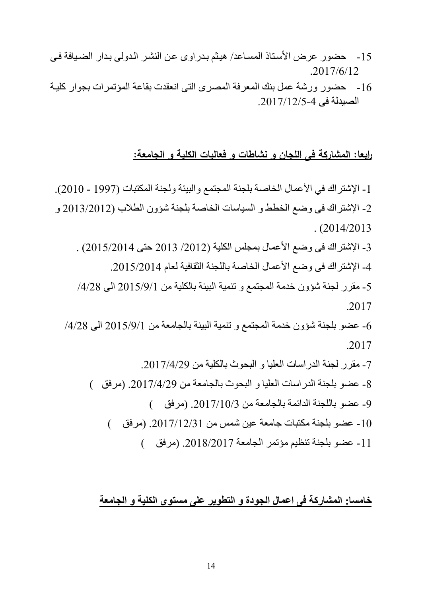- 15 حضور عرض الأستاذ المساعد/ هيثم بدراوى عن النشر الدولى بدار الضبافة في 2017/6/12
- 16 حضور ورشة عمل بنك المعرفة المصرى التي انعقدت بقاعة المؤتمرات بجوار كلية الصبدلة في 4-2017/12/5.

#### **رابعا: المشاركة فى اللجان و نشاطات و فعاليات الكلية و الجامعة:**

1- الإشتر اك في الأعمال الخاصة بلجنة المجتمع و البيئة ولجنة المكتبات (1997 - 2010). 2- الإشتر اك في وضع الخطط و السياسات الخاصة بلجنة شؤون الطلاب (2013/2012 و  $. (2014/2013$ 3- الإشتراك فى وضع الأعمال بمجلس الكلية (2012/ 2013 حتى 2015/2014) . 4- الإشتراك في وضع الأعمال الخاصة باللجنة الثقافية لعام 2015/2014. -2 مقرر لجنة شؤون خدمة المجتمع و تنمية البيئة بالكلية من 7112/9/1 الى /1/78 2017 -6 عضو بلجنة شؤون خدمة المجتمع و تنمية البيئة بالجامعة من 7112/9/1 الى /1/78 2017 7- مقرر لجنة الدراسات العليا و البحوث بالكلية من 2017/4/29. 8- عضو بلجنة الدر اسات العليا و البحوث بالجامعة من 2017/4/29. (مرفق ) 9- عضو باللجنة الدائمة بالجامعة من 2017/10/3. (مرفق) -11 عضو بلجنة مكتبات جامعة عين شمس من .7112/17/11 )مرفق ( 11 - عضو بلجنة تنظيم مؤتمر الجامعة 2018/2017. (مرفق )

### **خامسا: المشاركة فى اعمال الجودة و التطوير على مستوى الكلية و الجامعة**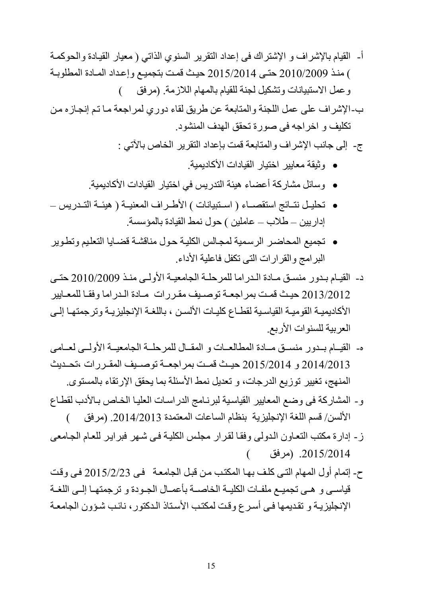- أ- القيام بالإشراف و الإشتراك في إعداد التقرير السنوي الذاتي ( معيار القيـادة والحوكمـة ( منلذ 7111/7119 حتلى 7112/7111 حيل قملت بتجميلع وإعلداد الملادة المطلوبلة وعمل الاستبيانات وتشكيل لجنة للقيام بالمهام اللازمة. (مرفق )
- ب-الإشراف على عمل اللجنة والمتابعة عن طريق لقاء دوري لمراجعة ما تم إنجازه من تكليف و اخراجه فى صورة تحقق الهدف المنشود.

ج- إلى جانب الإشراف والمتابعة قمت بإعداد التقرير الخاص بالأتي :

- وثيقة معايير اختيار القيادات األكاديمية.
- وسائل مشاركة أعضاء هيئة التدريس في اختيار القيادات األكاديمية.
- تحليل نتـائج استقصــاء ( اسـتبيانات ) الأطـراف المعنيــة ( هيئــة التـدريس إداريين – طلاب – عاملين ) حول نمط القيادة بالمؤسسة.
- تجميع المحاضلر الرسلمية لمجلالس الكليلة حلول مناقشلة قضلايا التعلليم وتطلوير البرامج والقرارات التي تكفل فاعلية الأداء.
- د- القيـام بـدور منسـق مـادة الـدراما للمرحلـة الجامعيـة الأولـى منـذ 2010/2009 حتـى 2013/2012 حيث قمت بمراجعة توصيف مقررات مادة المدراما وفقا للمعايير الأكاديميـة القوميـة القياسـية لقطـاع كليـات الألسـن ، باللغـة الإنجليزيـة وترجمتهـا إلـى العربية للسنوات الأربع.
- ه- القيـام بـدور منسـق مـادة المطالعـات و المقـال للمرحلــة الجامعيــة الأولــي لعــامي 2014/2013 و 2015/2014 حيث قمت بمراجعة توصليف المقررات ،تحليث المنهج، تغيير توزيع الدرجات، و تعديل نمط الأسئلة بما يحقق الإرتقاء بالمستوى.
- و- المشاركة فى وضع المعايير القياسية لبرنـامج الدراسـات العليـا الخـاص بـالأدب لقطـاع الألسن/ قسم اللغة الإنجليزية بنظام الساعات المعتمدة 2014/2013. (مرفق )
- ز إدارة مكتب التعاون الدولى وفقا لقرار مجلس الكلية في شهر فبراير للعام الجامعي .7112/7111 )مرفق (
- ح- إتمام أول المهام التي كلف بها المكتب من قبل الجامعة في 2015/2/23 في وقت قياسي و هـي تجميـع ملفـات الكليــة الخاصــة بأعمــال الجـودة و ترجمتهـا إلــي اللغــة الإنجليزيـة و تقديمها فـي أسـرع وقت لمكتب الأسناذ الـدكتور، نائب شـؤون الجامعـة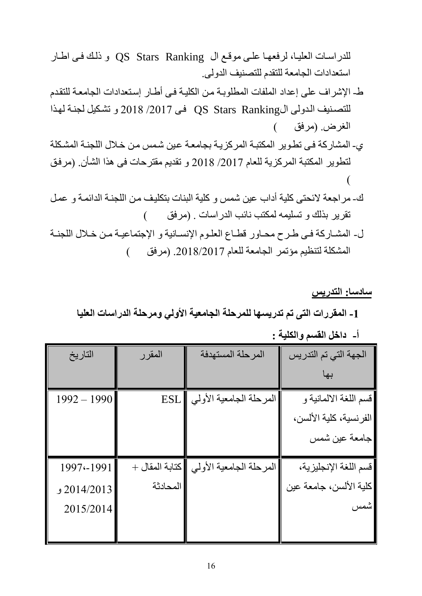للدراسات العليا، لرفعها على موقع ال QS Stars Ranking و ذلك في اطار استعدادات الجامعة للتقدم للتصنيف الدولى.

- ط- اإلشراف على إعداد الملفات المطلوبلة ملن الكليلة فلى أطلار إسلتعدادات الجامعلة للتقلدم للتصنيف الدولى الQS Stars Ranking في 2017/ 2018 و تشكيل لجنة لهذا الغرض (مرفق )
- ى- المشاركة في تطوير المكتبة المركزية بجامعة عين شمس من خلال اللجنة المشكلة لتطوير المكتبة المركزية للعام /7112 7118 و تقديم مقترحات فى هذا الشمن. )مرفلق  $\overline{\mathcal{L}}$
- ك- مر اجعة لائحتى كلية أداب عين شمس و كلية البنات بتكليف من اللجنـة الدائمـة و عمـل نقرير بذلك و تسليمه لمكتب نائب الدراسات . (مرفق )
- ل- المشاركة في طرح محاور قطاع العلوم الإنسانية و الإجتماعية من خلال اللجنـة المشكلة لتنظيم مؤتمر الجامعة للعام 2018/2017. (مرفق )

### **سادسا: التدريس**

**-0 المقررات التى تم تدريسها للمرحلة الجامعية األولي ومرحلة الدراسات العليا**

**أ- داخل القسم والكلية :**

| التاريخ       | المقرر         | المرحلة المستهدفة       | الجهة التي تم التدريس  |
|---------------|----------------|-------------------------|------------------------|
|               |                |                         |                        |
| $1992 - 1990$ | <b>ESL</b>     | المرحلة الجامعية الأولي | قسم اللغة الالمانية و  |
|               |                |                         | الفرنسية، كلية الألسن، |
|               |                |                         | جامعة عين شمس          |
| 1997 - 1991   | كتابة المقال + | المرحلة الجامعية الأولي | قسم اللغة الإنجليزية،  |
| 2014/2013 و   | المحادثة       |                         | كلية الألسن، جامعة عين |
| 2015/2014     |                |                         | شمس                    |
|               |                |                         |                        |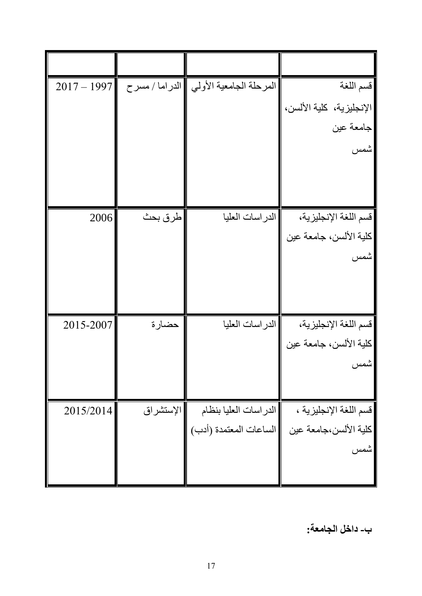| $2017 - 1997$ |           | المرحلة الجامعية الأولي ¶الدراما / مسرح | قسم اللغة                |
|---------------|-----------|-----------------------------------------|--------------------------|
|               |           |                                         | الإنجليزية، كلية الألسن، |
|               |           |                                         | جامعة عين                |
|               |           |                                         | شمس                      |
|               |           |                                         |                          |
|               |           |                                         |                          |
| 2006          | طرق بحث   | الدراسات العليا                         | قسم اللغة الإنجليزية،    |
|               |           |                                         | كلية الألسن، جامعة عين   |
|               |           |                                         | شمس                      |
|               |           |                                         |                          |
|               |           |                                         |                          |
| 2015-2007     | حضارة     | الدراسات العليا                         | قسم اللغة الإنجليزية،    |
|               |           |                                         | كلية الألسن، جامعة عين   |
|               |           |                                         | شمس                      |
|               |           |                                         |                          |
| 2015/2014     | الإستشراق | الدراسات العليا بنظام                   | قسم اللغة الإنجليزية ،   |
|               |           | الساعات المعتمدة (أدب)                  | كلية الألسن،جامعة عين    |
|               |           |                                         | شمس                      |
|               |           |                                         |                          |

**ب- داخل الجامعة:**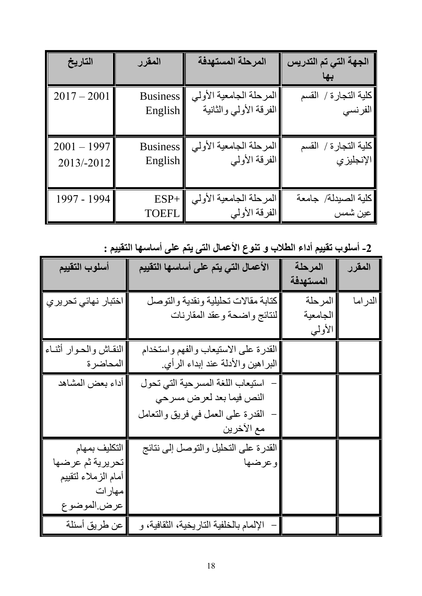| التاريخ       | المقرر          | المرحلة المستهدفة       | الجهة التي تم التدريس |
|---------------|-----------------|-------------------------|-----------------------|
|               |                 |                         |                       |
| $2017 - 2001$ | <b>Business</b> | المرحلة الجامعية الأولي | كلية التجارة / القسم  |
|               | English         | الفرقة الأولي والثانية  | الفرنسي               |
|               |                 |                         |                       |
| $2001 - 1997$ | <b>Business</b> | المرحلة الجامعية الأولي | كلية التجارة / القسم  |
| 2013/-2012    | English         | الفرقة الأولي           | الإنجليزي             |
|               |                 |                         |                       |
| 1997 - 1994   | $ESP+$          | المرحلة الجامعية الأولي | كلبة الصبدلة/ جامعة   |
|               | <b>TOEFL</b>    | الفرقة الأولي           | عين شمس               |

**-7 أسلوب تقييم أداء الطالب و تنوع األعمال التى يتم على أساسها التقييم :** 

|                       |                                         | المرحلة   | المقرر  |
|-----------------------|-----------------------------------------|-----------|---------|
| أسلوب التقييم         | الأعمال التي يتم على أساسها التقييم     |           |         |
|                       |                                         | المستهدفة |         |
| اختبار نهائي تحريري   | كتابة مقالات تحليلية ونقدية والتوصل     | المرحلة   | الدراما |
|                       | لنتائج واضحة وعقد المقارنات             | الجامعية  |         |
|                       |                                         | الأولىي   |         |
| النقاش والحوار أثنـاء | القدرة على الاستيعاب والفهم واستخدام    |           |         |
| المحاضرة              | البراهين والأدلة عند إبداء الرأي        |           |         |
| أداء بعض المشاهد      | استيعاب اللغة المسرحية التى تحول        |           |         |
|                       | النص فيما بعد لعرض مسرحي                |           |         |
|                       | القدرة على العمل في فريق والتعامل       |           |         |
|                       | مع الآخرين                              |           |         |
| التكليف بمهام         | القدرة على التحليل والتوصل إلى نتائج    |           |         |
| تحريرية ثم عرضها      | وعرضها                                  |           |         |
| أمام الزملاء لتقييم   |                                         |           |         |
| مهارات                |                                         |           |         |
| عرض الموضوع           |                                         |           |         |
| عن طريق أسئلة         | الإلمام بالخلفية التاريخية، الثقافية، و |           |         |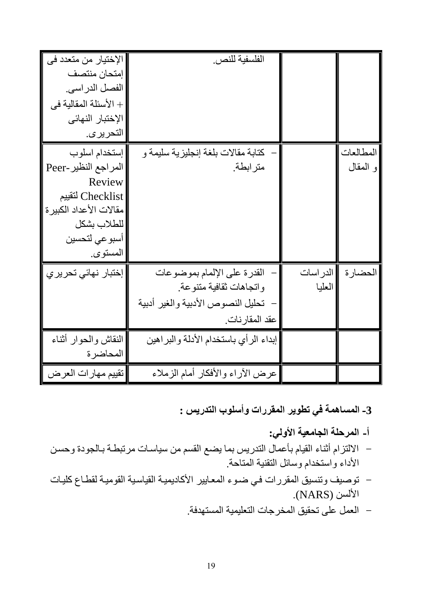| الإختيار من متعدد في<br>إمتحان منتصف<br>الفصل الدراسي.<br>+ الأسئلة المقالية في<br>الإختبار النهائي<br>التحر ير <i>ي.</i>                   | الفلسفية للنص.                                                                                               |                     |                       |
|---------------------------------------------------------------------------------------------------------------------------------------------|--------------------------------------------------------------------------------------------------------------|---------------------|-----------------------|
| إستخدام اسلوب<br>المراجع النظير -Peer<br>Review<br>Checklist لتقييم<br>مقالات الأعداد الكبير ة<br>للطلاب بشكل<br>أسبو عي لتحسين<br>المستوى. | كتابة مقالات بلغة إنجليزية سليمة و<br>مترابطة                                                                |                     | المطالعات<br>و المقال |
| إختبار نهائى تحريري                                                                                                                         | القدرة على الإلمام بموضوعات<br>واتجاهات ثقافية متنوعة<br>تحليل النصوص الأدبية والغير أدبية<br>عقد المقارنات. | الدر اسات<br>العليا | الحضارة               |
| النقاش والحوار أثناء<br>المحاضرة                                                                                                            | إبداء الرأي باستخدام الأدلة والبراهين                                                                        |                     |                       |
| تقييم مهارات العرض                                                                                                                          | عرض الأراء والأفكار أمام الزملاء                                                                             |                     |                       |

- **-3 المساهمة في تطوير المقررات وأسلوب التدريس :** 
	- **أ- المرحلة الجامعية األولي:**
- الالتزام أثناء القيام بأعمال التدريس بما يضع القسم من سياسات مرتبطة بالجودة وحسن الأداء واستخدام وسائل التقنية المتاحة.
- توصيف وتنسيق المقررات في ضـوء المعـايير الأكاديميـة القياسية القوميـة لقطـاع كليـات الألسن (NARS).
	- العمل على تحقيق المبرجات التعليمية المستهدفة.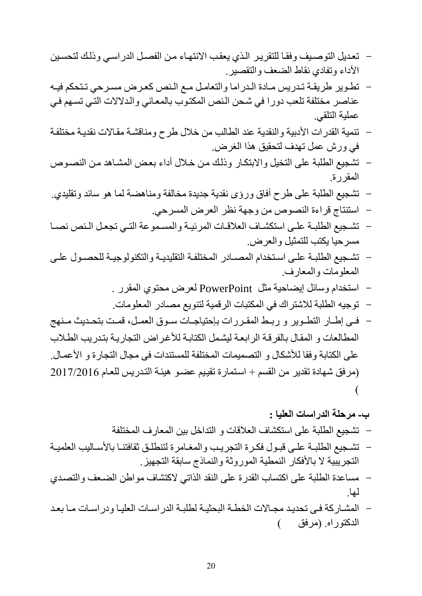- تعديل التوصيف وفقا للتقرير الذي يعقب الانتهاء من الفصل الدراسي وذلك لتحسين الأداء وتفادي نقاط الضعف والتقصير.
- تطوير طريقة تدريس مـادة الـدراما والتعامل مـع الـنص كعرض مسرحي تـتحكم فيـه عناصر مختلفة تلعب دورا في شحن النص المكتوب بالمعاني والدلالات التي تسهم في عملية التلقي.
- تنمية القدرات الأدبية والنقدية عند الطالب من خلال طرح ومناقشة مقالات نقدية مختلفة في ورش عمل تهدف لتحقيق هذا الغرض.
- تشجيع الطلبة على التخيل والابتكار وذلك من خلال أداء بعض المشاهد من النصوص المقررة.
- تشجيع الطلبة على طرح آفاق وراى نقدية جديدة مبالفة ومناهضة لما هو سائد وتقليدج.
	- استنتاج قراءة النصوص من وجهة نظر العرض المسرحي.

لها.

- تشجيع الطلبـة علـى استكشـاف العلاقـات المرئيـة والمسموعة التـى تجعل الـنص نصــا مسرحيا يكتب للتمثيل والعرض.
- تشجيع الطلبـة علـى اسـتخدام المصــادر المختلفـة التقليديـة والتكنولوجيـة للحصـول علـى المعلومات والمعارف.
	- استبدام وسائل إيضاحية مثل PowerPoint لعرض محتوج المقرر .
	- توجيه الطلبة للاشتراك في المكتبات الرقمية لتنويع مصادر المعلومات.
- فلي إطلار التطلوير و ربلط المقررات بإحتياجـات سلوق العمـل، قمـت بتحـديث مـنهج المطالعات و المقال بالفر قـة الر ابعـة ليشمل الكتابـة للأغر اض التجار بـة بتـدر بب الطـلاب على الكتابة وفقا للأشكال و التصميمات المختلفة للمستندات فى مجال التجارة و الأعمـال. )مرفق شهادة تقدير من القسم + اسلتمارة تقيليم عضلو هيئلة التلدريس للعلام 7112/7116  $\overline{\mathcal{L}}$

**ب- مرحلة الدراسات العليا :**  - تشجيع الطلبة على استكشاف العالقات و التداخل بين المعارف المبتلفة - تشللجيع الطلبللة علللى قبللول فكللرة التجريللب والمغللامرة لتنطلللق ثقافتنللا باألسللاليب العلميللة

- التجر ببية لا بالأفكار النمطية الموروثة والنماذج سابقة التجهيز . - مساعدة الطلبة على اكتساب القدرة على النقد الذاتي لاكتشاف مواطن الضعف والتصدي
- المشبار كة في تحديد مجبالات الخطبة البحثيبة لطلبية الدر اسبات العليبا ودر اسبات مبا بعد الدكتوراه. )مرفق (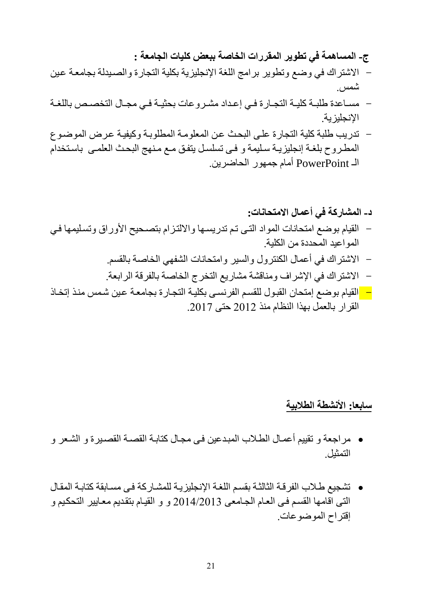**ج- المساهمة في تطوير المقررات الخاصة ببعض كليات الجامعة :** 

- الاشتراك في وضع وتطوير برامج اللغة الإنجليزية بكلية التجارة والصبدلة بجامعة عين شمس.
- مساعدة طلبــة كليــة التجــارة فــي إعـداد مشـروعات بحثيــة فــي مجــال التخصـص باللغــة اإلنجليزية.
- تدريب طلبة كلية التجارة عللى البحل علن المعلوملة المطلوبلة وكيفيلة علرض الموضلوع المطروح بلغة إنجليزيـة سليمة و فـي تسلسل يتفق مـع مـنهج البحث العلمـي باستخدام الـ PowerPoint أمام جمهور الحاضرين.

دـ المشلرىة في أعمال الامتحانات:  
– القيام بوصع امتحانات المواد التي تم تدريسها والالتزام بتصحيج الأوراق وتسليمها في
$$
-
$$
 المواعيد المحددة من الكلية.  
– الاشتراك في أعمال الكنترول والسير وامتحانات الشفهي الخاصة بالقسم.  
– الاشتراك في الإشراف ومناقشة مشاريع التخرج الخاصة بالفرقة الرابعة.  
القرار بالعمل بهذا النظام منذ 2012 حتى 2017.

# **سابعا: األنشطة الطالبية**

- مر اجعة و تقييم أعمـال الطـلاب المبدعين فـي مجـال كتابـة القصـدة القصـبر ة و الشـعر و التمثيل.
- تشجيع طلالم الفرقلة الثالثلة بقسلم اللغلة اإلنجليزيلة للمشلاركة فلى مسلابقة كتابلة المقلال التي اقامها القسم في العام الجامعي 2014/2013 و و القيام بتقديم معايير التحكيم و إقتراح الموضوعات.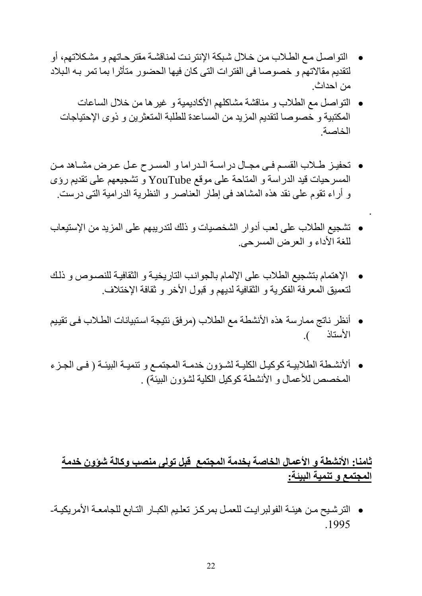- التواصل مـع الطـلاب من خـلال شبكة الإنتر نـت لمناقشـة مقتر حـاتهم و مشـكلاتهم، أو لتقديم مقالاتهم و خصوصا فى الفترات التى كان فيها الحضور متأثرا بما تمر بـه البلاد من احداث.
	- التواصل مع الطالم و مناقشة مشاكلهم األكاديمية و غيرها من خالل الساعات المكتبية و خصوصا لتقديم المزيد من المساعدة للطلبة المتعثرين و ذوى الإحتياجات الباصة.
- تحفيز طلاب القسم فـي مجـال دراسـة الـدراما و المسـرح عـل عـرض مشـاهد مـن المسرحيات قيد الدراسة و المتاحة على موقع YouTube و تشجيعهم على تقديم راى و أراء تقوم على نقد هذه المشاهد فى إطار العناصر و النظرية الدرامية التى درست.
- تشجيع الطلاب على لعب أدوار الشخصيات و ذلك لتدريبهم على المزيد من الإستيعاب للغة الأداء و العرض المسرحي.

.

- الإهتمام بتشجيع الطلاب على الإلمام بالجوانب التاريخيـة و الثقافيـة للنصـوص و ذلك لتعميق المعرفة الفكرية و الثقافية لديهم و قبول الأخر و ثقافة الإختلاف.
- أنظر ناتج ممارسة هذه الأنشطة مع الطلاب (مرفق نتيجة استبيانات الطلاب فـى تقييم الأستاذ ).
- ألأنشطة الطلابيـة كوكيـل الكليـة لشـؤون خدمـة المجتمـع و تنميـة البيئـة ( فـي الجـزء المخصص للأعمال و الأنشطة كوكيل الكلية لشؤون البيئة) .

## **ثامنا: األنشطة و األعمال الخاصة بخدمة المجتمع قبل تولى منصب وكالة شؤون خدمة المجتمع و تنمية البيئة:**

 الترشليح ملن هيئلة الفولبرايلت للعملل بمركلز تعلليم الكبلار التلابع للجامعلة األمريكيلة- 1995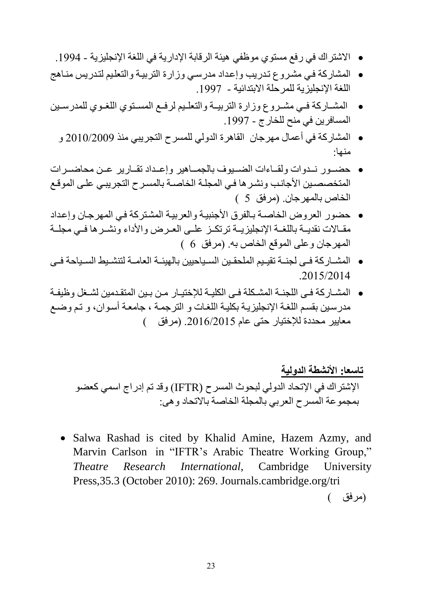- الاشتراك في رفع مستوي موظفي هيئة الرقابة الإدارية في اللغة الإنجليزية 1994.
- المشاركة فلي مشلروع تلدريب وإعلداد مدرسلي وزارة التربيلة والتعلليم لتلدريس منلاهج اللغة الإنجليزية للمرحلة الابتدائية - 1997.
- المشللاركة فللي مشللروع وزارة التربيللة والتعللليم لرفللع المسللتوج اللغللوج للمدرسللين المسافرين في منح للخارج - 1997.
	- المشاركة في أعمال مهرجان القاهرة الدولي للمسرح التجريبي منذ 7111/7119 و منها:
- حضلللور نلللدوات ولقلللاءات الضللليوف بالجملللاهير وإعلللداد تقلللارير علللن محاضلللرات المتخصصين الأجانب ونشرها في المجلة الخاصىة بالمسرح التجريبي على الموقع الخاص بالمهرجان. (مرفق 5 )
- حضور العروض الباصلة بلالفرق األجنبيلة والعربيلة المشلتركة فلي المهرجلان وإعلداد مقـالات نقديــة باللغــة الإنجليزيــة ترتكــز علــى العـرض والأداء ونشــرها فــى مجلــة المهرجان وعلى الموقع الخاص به. (مرفق 6 )
- المشللاركة فللى لجنللة تقيلليم الملحقللين السللياحيين بالهيئللة العامللة لتنشلليط السللياحة فللى 2015/2014
- المشــاركة فـي اللجنــة المشـكلة فـي الكليــة للإختيــار مـن بـين المتقـدمين لشــغل وظيفـة مدرسين بقسم اللغـة الإنجليزيـة بكليـة اللغـات و الترجمـة ، جامعـة أسـوان، و تـم وضـع معايير محددة للإختيار حتى عام 2016/2015. (مرفق )

**تاسعا: األنشطة الدولية** اإلشترا في اإلتحاد الدولي لبحوث المسرح (IFTR )وقد تم إدراج اسمي كعضو بمجموعة المسرح العربي بالمجلة الباصة باالتحاد وهى:

• Salwa Rashad is cited by Khalid Amine, Hazem Azmy, and Marvin Carlson in "IFTR's Arabic Theatre Working Group," *Theatre Research International*, Cambridge University Press,35.3 (October 2010): 269. Journals.cambridge.org/tri

)مرفق (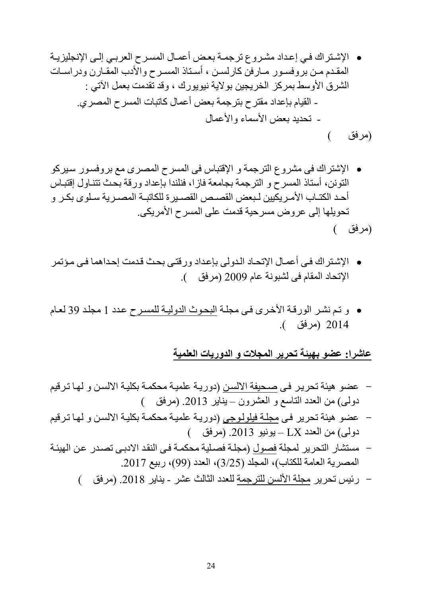اإلشلترا فلي إعلداد مشلروع ترجملة بعلض أعملال المسلرح العربلي إللى اإلنجليزيلة المقللدم مللن بروفسللور مللارفن كارلسللن ، أسللتاذ المسللرح واألدم المقللارن ودراسللات الشرق األوسط بمركز البريجين بوالية نيويور ، وقد تقدمت بعمل ادتي : - القيام بإعداد مقترح بترجمة بعض أعمال كاتبات المسرح الم رج. - تحديد بعض األسماء واألعمال

)مرفق (

- الإشتراك فى مشروع الترجمة و الإقتباس فى المسرح المصرى مع بروفسور سيركو التونن، أستاذ المسرح و الترجمة بجامعة فازا، فنلندا بإعداد ورقة بحل تتنلاول إقتبلاس أحد الكتــاب الأمـريكيين لـبعض القصـص القصـيرة للكاتبــة المصـرية سـلوى بكـر و تحويلها إلى عروض مسرحية قدمت على المسرح الأمريكي. )مرفق (
- الإشتراك في أعمـال الإتحـاد الـدولي بإعداد ورقتـي بحث قدمت إحداهما فـي مؤتمر الإتحاد المقام فى لشبونة عام 2009 (مرفق ).
- و تلم نشلر الورقلة األخلرى فلى مجللة البحلوث الدوليلة للمسلرح علدد 1 مجللد 19 لعلام 7111 )مرفق (.

### **عاشرا: عضو بهيئة تحرير المجالت و الدوريات العلمية**

- عضو هيئة تحريلر فلى صلحيفة االلسلن )دوريلة علميلة محكملة بكليلة االلسلن و لهلا تلرقيم دولـى) من العدد التاسع و العشرون – يناير 2013. (مرفق )
- عضو هيئة تحرير فلى مجللة فيلوللوجى )دوريلة علميلة محكملة بكليلة االلسلن و لهلا تلرقيم دولي) من العدد LX - يونيو 2013. (مرفق)
- مستشار التحرير لمجلة فصول (مجلة فصلية محكمة في النقد الادبي تصدر عن الهيئة المصرية العامة للكتاب)، المجلد (3/25)، العدد (99)، ربيع 2017.
	- رئيس تحرير مجلة الألسن للترجمة للعدد الثالث عشر يناير 2018. (مرفق )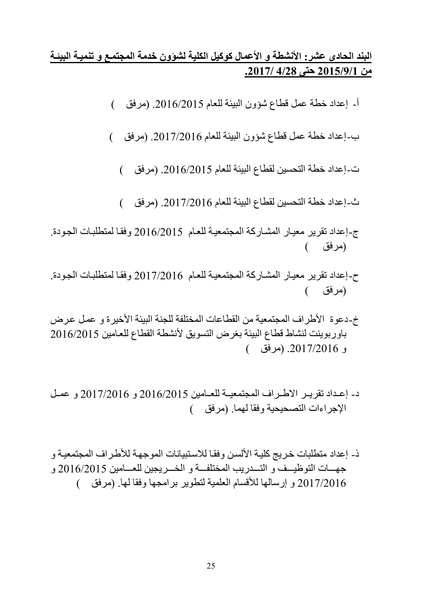## **البند الحادى عشر: األنشطة و األعمال كوكيل الكلية لشؤون خدمة المجتميع و تنميية البيئية من 7109/3/0 حتى 4/72 .7102/**

- أ- إعداد خطة عمل قطاع شؤون البيئة للعام .7116/7112 )مرفق (
- ب-إعداد خطة عمل قطاع شؤون البيئة للعام 2017/2016. (مرفق )
	- ت-إعداد خطة التحسين لقطاع البيئة للعام .7116/7112 )مرفق (
	- ث-إعداد خطة التحسين لقطاع البيئة للعام .7112/7116 )مرفق (
- ج-إعداد تقرير معيار المشاركة المجتمعية للعام 2016/2015 وفقا لمتطلبات الجودة. )مرفق (
- ح-إعداد تقرير معيار المشاركة المجتمعية للعام 2017/2016 وفقا لمتطلبات الجودة. )مرفق (
- خ-دعوة الأطراف المجتمعية من القطاعات المختلفة للجنة البيئة الأخيرة و عمل عرض باوربوينت لنشاط قطاع البيئة بغرض التسويق ألنشطة القطاع للعلامين 7116/7112 و .7112/7116 )مرفق (
- د- إعداد تقريـر الاطـراف المجتمعيــة للعــامين 2016/2015 و 2017/2016 و عمـل الإجراءات التصحيحية وفقا لهما. (مرفق )
- ذ- إعداد متطلبات خريج كلية الألسن وفقا للاستبيانات الموجهة للأطراف المجتمعية و جهسات التوظيسف و التسدريب المختلفسة و الخسريجين للعسامين 2016/2015 و 2017/2016 و إرسالها للأقسام العلمية لتطوير برامجها وفقا لها. (مرفق )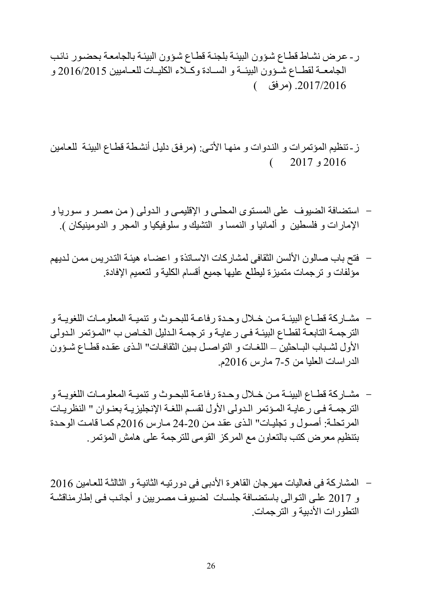- ر- عرض نشاط قطاع شؤون البيئة بلجنة قطاع شؤون البيئة بالجامعة بحضور نائب الجامعـة لقطـاع شـؤون البيئــة و السـادة وكـلاء الكليــات للعــاميين 2016/2015 و .7112/7116 )مرفق (
- ز-تنظيم المؤتمرات و الندوات و منها الأتـى: (مرفق دليل أنشطة قطـاع البيئـة للعـامين 7116 و 7112 (
- استضافة الضيوف على المستوى المحلبي و الإقليمي و الدولي ( من مصـر و سـوريا و الإمارات و فلسطين و ألمانيا و النمسا و التشيك و سلوفيكيا و المجر و الدومينيكان ).
- فتح بام صالون األلسن الثقافى لمشاركات االسلاتذة و اعضلاء هيئلة التلدريس مملن للديهم مؤلفات و ترجمات متميزة ليطلع عليها جميع أقسام الكلية و لتعميم اإلفادة.
- مشــار كة قطــاع البيئــة مـن خــلال وحـدة رفاعــة للبحـوث و تنميــة المعلومــات اللغويــة و الترجمة التابعة لقطـاع البيئـة فـي رعايـة و ترجمـة الـدليل الخـاص ب "المـؤتمر الـدولى الأول لشباب البلحثين – اللغـات و التواصـل بـين الثقافـات" الـذى عقـده قطـاع شـؤون الدراسات العليا من 2-2 مارس 7116م.
- مشـاركة قطـاع البيئــة مـن خــلال وحـدة رفاعــة للبحـوث و تنميــة المعلومــات اللغويــة و الترجمـة فـي رعايـة المـؤتمر الـدولى الأول لقسم اللغـة الإنجليزيـة بعنـوان " النظريـات المرتحللة: أصلول و تجليلات" اللذى عقلد ملن 71-71 ملارس 7116م كملا قاملت الوحلدة بتنظيم معرض كتب بالتعاون مع المركز القومى للترجمة على هامش المؤتمر.
- المشار كة فى فعاليات مهر جان القاهر ة الأدبى فى دور تيـه الثانيـة و الثالثـة للعـامين 2016 و 2017 على التوالي باستضافة جلسات لضبوف مصريين و أجانب في إطارمناقشة التطور ات الأدبية و الترجمات.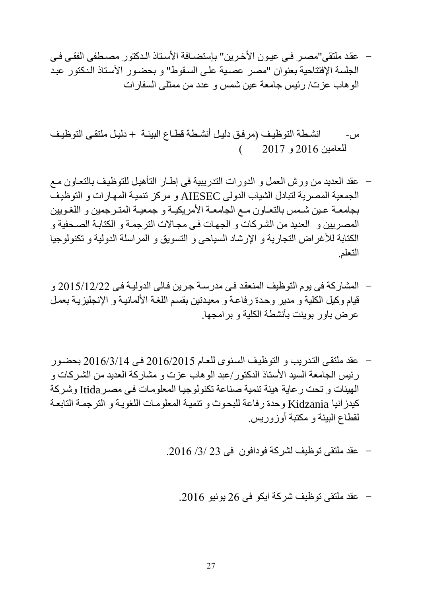- عقد ملتقى"مصـر فـي عيـون الأخرين" بإستضـافة الأسـتاذ الـدكتور مصـطفى الفقـي فـي الجلسة الإفتتاحية بعنوان "مصر عصبة على السقوط" و بحضور الأستاذ الدكتور عبد الوهام عزت/ رئيس جامعة عين شمس و عدد من ممثلى السفارات
- س- انشطة التوظيف (مرفق دليل أنشطة قطـاع البيئـة + دليل ملتقـى التوظيف للعامين 7116 و 7112 (
- عقد العديد من ورش العمل و الدورات التدريبية فى إطلار التمهيلل للتوظيلف بالتعلاون ملع الجمعية المصرية لتبادل الشياب الدولي AIESEC و مركز تنمية المهارات و التوظيف بجامعـة عـين شمس بالتعـاون مـع الجامعـة الأمريكيـة و جمعيـة المتـرجمين و اللغـويين المصريين و العديد من الشركات و الجهات في مجالات الترجمة و الكتابة الصحفية و الكتابة للأغراض التجارية و الإرشاد السياحي و التسويق و المراسلة الدولية و تكنولوجيا التعلم.
- المشاركة فى يوم التوظيف المنعقلد فلى مدرسلة جلرين فلالى الدوليلة فلى 7112/17/77 و قيام وكيل الكلية و مدير وحدة رفاعة و معيدتين بقسم اللغة الألمانيـة و الإنجليزيـة بعمل عر ض باور بوينت بأنشطة الكلية و بر امجها.
- عقد ملتقلى التلدريب و التوظيلف السلنوى للعلام 7116/7112 فلى 7116/1/11 بحضلور ر ئيس الجامعة السيد الأستاذ الدكتور /عبد الو هاب عز ت و مشار كة العديد من الشر كات و الهيئات و تحت رعاية هيئة تنمية صناعة تكنولوجيا المعلومات في مصر Itida وشركة كيدزانيا Kidzania وحدة رفاعة للبحوث و تنمية المعلومات اللغويـة و الترجمـة التابعـة لقطاع البيئة و مكتبة أوزوريس.
	- عقد ملتقى توظيف لشركة فودافون فى 71 /1/ .7116
		- عقد ملتقى توظيف شركة ايكو فى 76 يونيو .7116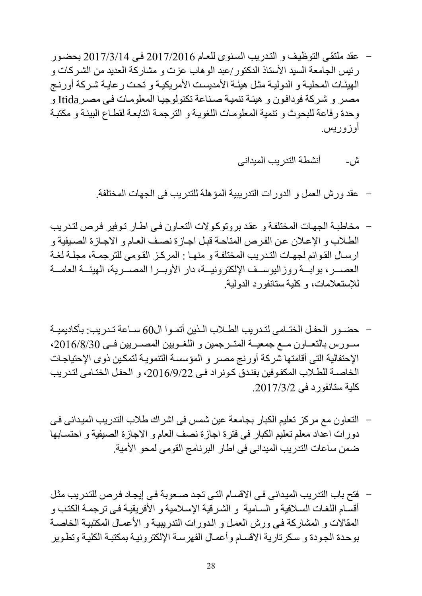- عقد ملتقى التوظيف و التدريب السنوى للعام 2017/2016 في 2017/3/14 بحضور رئيس الجامعة السيد الأستاذ الدكتور/عبد الوهاب عزت و مشاركة العديد من الشركات و الهيئات المحلية و الدولية مثل هيئة الأمديست الأمريكية و تحت رعاية شركة أورنج مصـر و شـركة فودافون و هيئـة تنميـة صـنـاعة تكنولوجيـا المعلومـات فـي مصـر Itida و وحدة رفاعة للبحوث و تنمية المعلومات اللغوية و الترجمة التابعة لقطاع البيئة و مكتبة أوزوريس.
	- ش- أنشطة التدريب الميدانى

- عقد ورش العمل و الدورات التدريبية المؤهلة للتدريب فى الجهات المبتلفة.

- مخاطبة الجهات المختلفة و عقد بروتوكولات التعاون في اطار توفير فرص لتدريب الطلاب و الإعلان عن الفرص المتاحة قبل اجازة نصف العام و الاجازة الصيفية و ارسال القوائم لجهات التدريب المختلفة و منها : المركز القومى للترجمـة، مجلـة لغـة العصبير، بوابسة روز اليوسيف الإلكترونيسة، دار الأوبير ا المصبيرية، الهيئسة العامسة لنستعالمات، و كلية ستانفورد الدولية.
- حضبور الحفل الختلمى لتبدريب الطلاب اللذين أتمبوا ال60 سباعة تبدريب: بأكاديميية سلورس بالتعلون ملع جمعيــة المتــرجمين و اللغــويين المصــريين فــي 2016/8/30، الإحتفالية التي أقامتها شركة أورنج مصىر و المؤسسة التنمويـة لتمكين ذوى الإحتياجـات الخاصــة للطـلاب المكفوفين بفندق كـونراد فـي 2016/9/22، و الحفل الختـامى لتـدريب كلية ستانفورد فى .7112/1/7
- التعاون مع مركز تعليم الكبار بجامعة عين شمس فى اشراك طلاب التدريب الميدانى فى دورات اعداد معلم تعليم الكبار في فترة اجازة نصف العام و الاجازة الصيفية و احتسابها ضمن ساعات التدريب الميدانى فى اطار البرنامج القومى لمحو األمية.
- فتح باب التدريب الميداني في الاقسام التي تجد صعوبة في إيجاد فرص للتدريب مثل أقسام اللغات السلافية و السامية و الشرقية الإسلامية و الأفريقية في ترجمـة الكتب و المقالات و المشاركة في ورش العمل و الدورات التدريبية و الأعمال المكتبية الخاصـة بوحدة الجودة و سكرتارية الاقسام وأعمال الفهرسة الإلكترونية بمكتبة الكلية وتطوير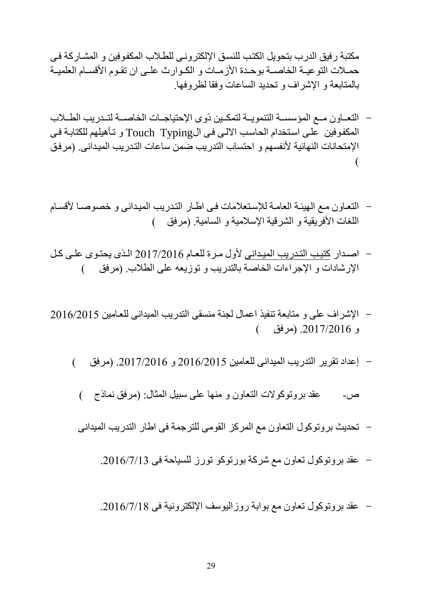مكتبة رفيق الدرب بتحويل الكتب للنسق الإلكتروني للطلاب المكفوفين و المشاركة في حملات التوعيــة الخاصــة بوحـدة الأزمــات و الكـوارث علــى ان تقـوم الأقســام العلميــة بالمتابعة و اإلشراف و تحديد الساعات وفقا لظروفها.

- التعـاون مـع المؤسسـة التنمويـة لتمكـين ذوى الإحتياجـات الخاصــة لتـدريب الطــلاب المكفوفين على استخدام الحاسب الالي في الTouch Typing و تأهيلهم للكتابة في الإمتحانات النهائية لأنفسهم و احتساب التدريب ضمن ساعات التدريب الميدانى. (مرفق  $\overline{\mathcal{L}}$
- التعاون مع الهيئة العامة للإستعلامات في اطار التدريب الميداني و خصوصا لأقسام اللغات الأفريقية و الشرقية الإسلامية و السامية. (مرفق )
- اصلدار كتيلب التلدريب الميللدانى ألول ملرة للعللام 7112/7116 الللذى يحتلوى عللى كللل الإرشادات و الإجراءات الخاصة بالتدريب و توزيعه على الطلاب. (مرفق )
- اإلشراف على و متابعة تنفيذ اعمال لجنة منسقى التدريب الميدانى للعلامين 7116/7112 و .7112/7116 )مرفق (
	- إعداد تقرير التدريب الميدانى للعامين 7116/7112 و .7112/7116 )مرفق (
		- ص- عقد بروتوكولات التعاون و منها على سبيل المثال: (مرفق نماذج )
		- تحديث بروتوكول التعاون مع المركز القومى للترجمة فى اطار التدريب الميدانى
			- عقد بروتوكول تعاون مع شركة بورتوكو تورز للسياحة فى .7116/2/11
			- عقد بروتوكول تعاون مع بوابة روزاليوسف اإللكترونية فى .7116/2/18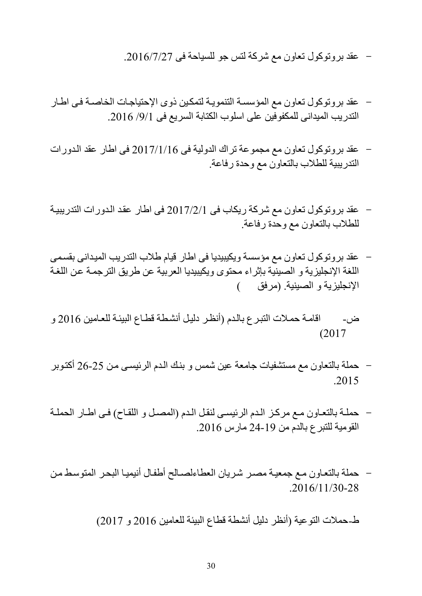- عقد بروتوكول تعاون مع شركة لتس جو للسياحة فى .7116/2/72

- عقد بروتوكول تعاون مع المؤسسة التنموية لتمكين ذوى الإحتياجات الخاصـة في اطـار التدريب الميداني للمكفوفين على اسلوب الكتابة السريع فى 9/1/ 2016.
- عقد بروتوكول تعاون مع مجموعة ترا الدولية فى 7112/1/16 فى اطار عقد اللدورات التدريبية للطالم بالتعاون مع وحدة رفاعة.
- عقد بروتوكول تعاون مع شركة ريكام فى 7112/7/1 فى اطار عقلد اللدورات التدريبيلة للطالم بالتعاون مع وحدة رفاعة.
- عقد بروتوكول تعاون مع مؤسسة ويكيبيديا فى اطار قيام طلاب التدريب الميداني بقسمى اللغة الإنجليزية و الصينية بإثراء محتوى ويكيبيديا العربية عن طريق الترجمة عن اللغة الإنجليزية و الصينية. (مرفق )
- ض- اقامـة حمـلات التبـرع بالـدم (أنظـر دليل أنشـطـة قطـاع البيئـة للعـامين 2016 و  $(2017)$
- حملة بالتعاون مع مستشفيات جامعة عين شمس و بنلك اللدم الرئيسلى ملن 76-72 أكتلوبر .2015
- حملـة بالتعـاون مـع مركـز الـدم الرئيسـي لنقل الـدم (المصـل و اللقـاح) فـي اطـار الحملـة القومية للتبرع بالدم من 71-19 مارس .7116
- حملة بالتعاون مع جمعية مصر شريان العطاءلصالح أطفال أنيميا البحر المتوسط من  $.2016/11/30-28$

ط-حملات التوعية (أنظر دليل أنشطة قطاع البيئة للعامين 2016 و 2017)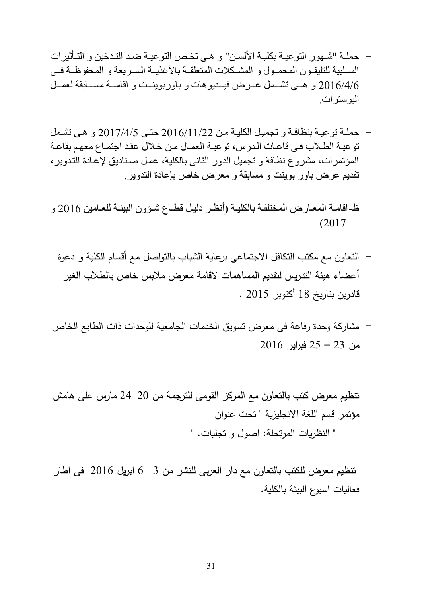- حملــة "شــهور التوعيــة بكليــة الألســن" و هــى تخـص التوعيــة ضــد التـدخين و التــأثيرات السلبية للتليفون المحمـول و المشكلات المتعلقـة بالأغذيــة السـريعة و المحفوظـة فـي 2016/4/6 و همي تشمل عـرض فيـديوهات و باوربوينــت و اقامــة مســابقة لعمــل البوسترات.
- حمللة توعيلة بنظافلة و تجميلل الكليلة ملن 7116/11/77 حتلى 7112/1/2 و هلى تشلمل توعية الطلاب في قاعات الدرس، توعية العمال من خلال عقد اجتماع معهم بقاعة المؤتمرات، مشروع نظافة و تجميل الدور الثاني بالكلية، عمل صناديق لإعادة التدوير ، تقديم عرض باور بوينت و مسابقة و معرض خاص بإعادة التدوير.
- ظ-اقامـة المعـارض المختلفـة بالكليـة (أنظـر دليـل قطـاع شـؤون البيئـة للعـامين 2016 و  $(2017)$ 
	- التعاون مع مكتب التكافل االجتماعى برعاية الشباب بالتواصل مع أقسام الكلية و دعوة أعضاء هيئة التدريس لتقديم المساهمات القامة معرض مالبس خاص بالطالب الغير قادرين بتاريخ 18 أكتوبر 7112 .
- مشاركة وحدة رفاعة في معرض تسويق الخدمات الجامعية للوحدات ذات الطابع الخاص من 71 – 72 فبراير 7116
- تنظيم معرض كتب بالتعاون مع المركز القومى للترجمة من 71-71 مارس على هامش مؤتمر قسم اللغة االنجليزية " تحت عنوان " النظريات المرتحلة: اصول و تجليات. "
- تنظيم معرض للكتب بالتعاون مع دار العربى للنشر من 1 6- ابريل 7116 فى اطار فعاليات اسبوع البيئة بالكلية.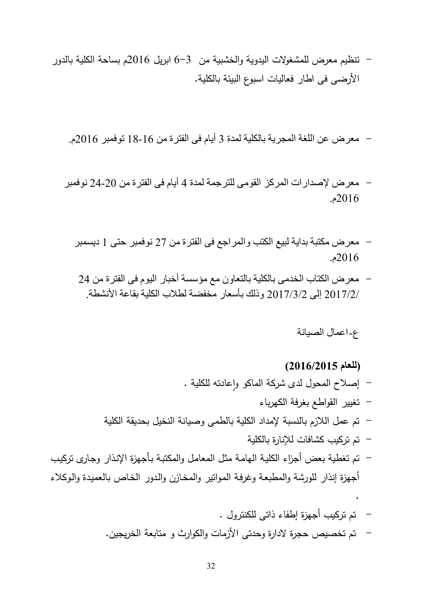- تنظيم معرض للمشغوالت اليدوية والخشبية من 6-1 ابريل 7116م بساحة الكلية بالدور األرضى فى اطار فعاليات اسبوع البيئة بالكلية.

- معرض عن اللغة المجرية بالكلية لمدة 1 أيام فى الفترة من 18-16 توفمبر 7116م.

- معرض إلصدارات المركز القومى للترجمة لمدة 1 أيام فى الفترة من 71-71 نوفمبر 7116م.
	- معرض مكتبة بداية لبيع الكتب والمراجع فى الفترة من 72 نوفمبر حتى 1 ديسمبر 7116م.
		- معرض الكتاب الخدمى بالكلية بالتعاون مع مؤسسة أخبار اليوم فى الفترة من 24 2017/2/ إلى 2017/3/2 وذلك بأسعار مخفضة لطلاب الكلية بقاعة الأنشطة.

#### ع-اعمال الصيانة

# **)للعام 7106/7109(** – إصلاح المحول لدى شركة الماكو وإعادته للكلية . - تغيير القواطع بغرفة الكهرباء - تم عمل الالزم بالنسبة إلمداد الكلية بالطمى وصيانة النخيل بحديقة الكلية - تم تركيب كشافات لإلنارة بالكلية – تم تغطية بعض أجزاء الكلية الهامة مثل المعامل والمكتبة بأجهزة الإنذار وجارى تركيب أجهزة إنذار للورشة والمطبعة وغرفة الموانير والمخازن والدور الخاص بالعميدة والوكلاء .

- تم تركيب أجهزة إطفاء ذاتى للكنترول . - تم تخصيص حجرة الدارة وحدتى األزمات والكوارث و متابعة الخريجين.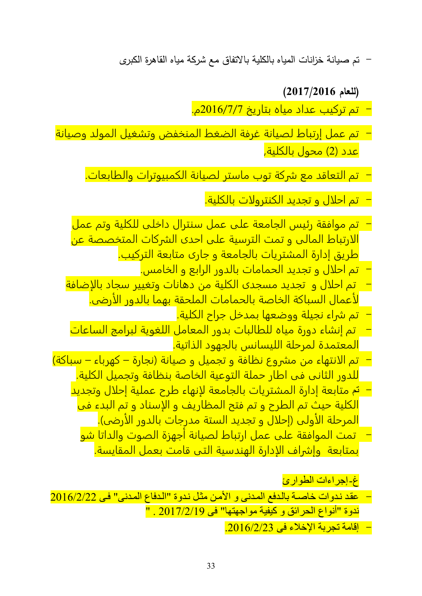- تم صيانة خزانات المياه بالكلية باالتفاق مع شركة مياه القاهرة الكبرى

**)للعام 7102/7106(**

- تم تركيب عداد مياه بتاريخ 7116/2/2م.

- تم عمل إرتباط لصيانة غرفة الضغط المنخفض وتشغيل المولد وصيانة <mark>عدد (2) محول بالكلية,</mark>
	- تم التعاقد مع شركة توب ماستر لصيانة الكمبيوترات والطابعات.

- تم احلال و تجديد الكنترولات بالكلية.

- تم موافقة رئيس الجامعة على عمل سنترال داخلى للكلية وتم عمل الارتباط المالى و تمت الترسية على احدى الشركات المتخصصة عن طريق إدارة المشتريات بالجامعة و جارى متابعة التركيب.
	- تم احلال و تجديد الحمامات بالدور الرابع و الخامس.
- تم احلال و تجديد مسجدى الكلية من دهانات وتغيير سجاد بالإضافة لأعمال السباكة الخاصة بالحمامات الملحقة بهما بالدور الأرضى.
	- تم شراء نجيلة ووضعها بمدخل جراح الكلية.
- تم إنشاء دورة مياه للطالبات بدور المعامل اللغوية لبرامج الساعات المعتمدة لمرحلة الليسانس بالجهود الذاتية.
- تم الانتهاء من مشروع نظافة و تجميل و صيانة (نجارة كهرباء سباكة) للدور الثانى فى اطار حملة التوعية الخاصة بنظافة وتجميل الكلية.
	- تم متابعة إدارة المشتريات بالجامعة لإنهاء طرح عملية إحلال وتجديد الكلية حيث تم الطرح و تم فتح المظاريف و الإسناد و تم البدء فى <mark>المرحلة الأولى (إحلال و تجديد الستة مدرجات بالدور الأرضى).</mark>
		- تمت الموافقة على عمل ارتباط لصيانة أجهزة الصوت والداتا شو بمتابعة وإشراف الإدارة الهندسية التى قامت بعمل المقايسة.

غ-إجراءات الطوارئ

- عقلد نلدوات خاصلة باللدفع الملدنى و األملن مثلل نلدوة "اللدفاع الملدنى" فلى 7116/7/77 ندوة "أنواع الحرائق و كيفية مواجهتها" فى 7112/7/19 . "

- إقامة تجربة اإلخالء فى .7116/7/71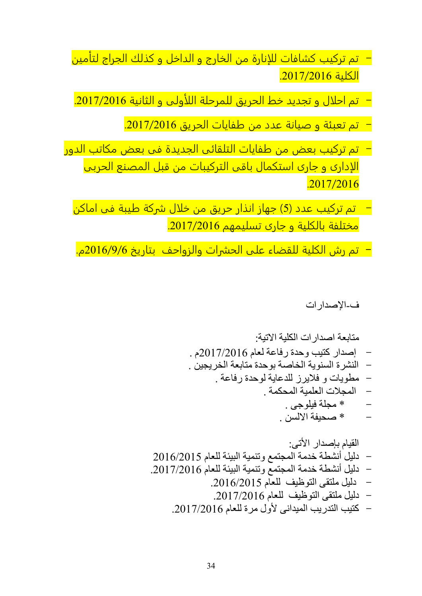- تم تركيب كشافات للإنارة من الخارج و الداخل و كذلك الجراج لتأمين الكلية .7112/7116
- تم احلال و تجديد خط الحريق للمرحلة اللأولى و الثانية .7112/7116
	- تم تعبئة و صيانة عدد من طفايات الحريق .7112/7116
- تم تركيب بعض من طفايات التلقائى الجديدة فى بعض مكاتب الدور الإدارى و جارى استكمال باقى التركيبات من قبل المصنع الحربى .2017/2016
	- تم تركيب عدد )2( جهاز انذار حريق من خلال شركة طيبة فى اماكن مختلفة بالكلية و جارى تسليمهم .7112/7116
	- **-** تم رش الكلية للقضاء على الحشرات والزواحف بتاريخ 7116/9/6م.

ف-اإلصدارات

متابعة اصدارات الكلية االتية: - إصدار كتيب وحدة رفاعة لعام 7112/7116م . - النشرة السنوية الباصة بوحدة متابعة البريجين . - مطويات و فاليرز للدعاية لوحدة رفاعة . - المجالت العلمية المحكمة . - \* مجلة فيلوجى . - \* صحيفة االلسن .

القيام بإصدار األتى: - دليل أنشطة خدمة المجتمع وتنمية البيئة للعام 7116/7112 - دليل أنشطة خدمة المجتمع وتنمية البيئة للعام .7112/7116 - دليل ملتقى التوظيف للعام .7116/7112 - دليل ملتقى التوظيف للعام .7112/7116 - كتيب التدريب الميدانى ألول مرة للعام .7112/7116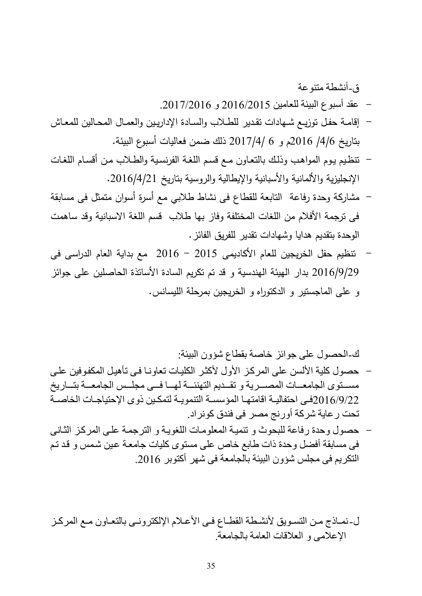ق-أنشطة متنوعة

- عقد أسبوع البيئة للعامين 7116/7112 و .7112/7116
- إقامة حفل توزيـع شـهادات تقدير للطـلاب والسـادة الإداريـين والعمـال المحـالين للمعـاش بتاريخ /1/6 7116م و 6 7112/1/ ذلك ضمن فعاليات أسبوع البيئة.
- تتظيم يوم المواهب وذلك بالتعاون مع قسم اللغة الفرنسية والطلاب من أقسام اللغات الإنجليزية والألمانية والأسبانية والإيطالية والروسية بتاريخ 2016/4/21.
- مشاركة وحدة رفاعة التابعة للقطاع فى نشاط طلابى مع أسرة أسوان متمثل فى مسابقة فى ترجمة الأفلام من اللغات المختلفة وفاز بها طلاب قسم اللغة الاسبانية وقد ساهمت الوحدة بتقديم هدايا وشهادات تقدير للفريق الفائز.
- تنظيم حفل الخريجين للعام األكاديمى 7112 7116 مع بداية العام الدراسى فى 7116/9/79 بدار الهيئة الهندسية و قد تم تكريم السادة األساتذة الحاصلين على جوائز و على الماجستير و الدكتوراه و الخريجين بمرحلة الليسانس.

ك-الحصول على جوائز خاصة بقطاع شؤون البيئة:

- حصول كلية الألسن على المركز الأول لأكثر الكليات تعاونـا فـي تأهيل المكفوفين علـي مسلتوى الجامعلات المصلرية و تقلديم التهنئلة لهلا فلي مجللس الجامعلة بتلاريخ 16/9/22فلليلة اقامتها المؤسسة التنمويـة لتمكـين ذوى الإحتياجـات الخاصــة لت تحت ر عاية شركة أورنج مصر فى فندق كونراد.
- حصول وحدة رفاعة للبحوث و تنميـة المعلومـات اللغويـة و الترجمـة علـى المركـز الثـانـى فى مسابقة أفضل وحدة ذات طابع خاص على مستوى كليات جامعلة علين شلمس و قلد تلم التكريم فى مجلس شؤون البيئة بالجامعة فى شهر أكتوبر .7116

ل-نمــاذج مـن التسـويق لأنشـطة القطــاع فـي الأعــلام الإلكتر ونــي بـالتعــاون مــع المر كـز اإلعالمى و العالقات العامة بالجامعة.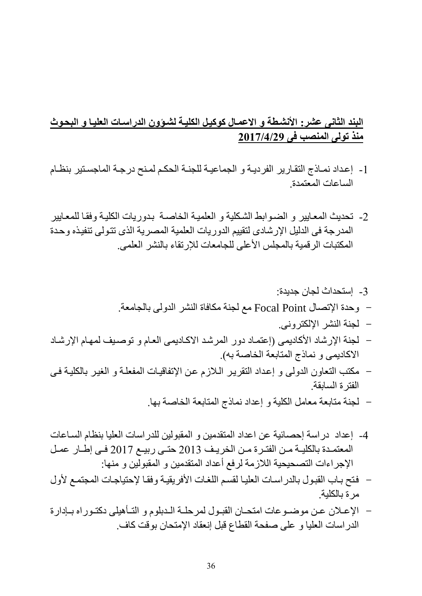## **البند الثانى عشر: األنشيطة و االعميال كوكييل الكليية لشيؤون الدراسيات العلييا و البحيوث منذ تولى المنصب فى 7102/4/73**

- -1 إعلداد نملاذج التقلارير الفرديلة و الجماعيلة للجنلة الحكلم لملنح درجلة الماجسلتير بنظلام الساعات المعتمدة.
- 2- تحديث المعايير و الضوابط الشكلية و العلمية الخاصىة بدوريات الكلية وفقا للمعايير المدرجة فى الدليل الإرشادى لتقييم الدوريات العلمية المصرية الذى تتولى تنفيذه وحدة المكتبات الر قمية بالمجلس الأعلى للجامعات للإرتقاء بالنشر العلمى.

# -1 إستحداث لجان جديدة: - وحدة اإلت ال Point Focal مع لجنة مكافاة النشر الدولى بالجامعة. - لجنة النشر اإللكترونى. – لجنة الإرشاد الأكاديمى (إعتماد دور المرشد الاكاديمى العام و توصبف لمهام الإرشاد الاكاديمي و نماذج المتابعة الخاصة به).

- مكتب التعاون الدولى و إعلداد التقريلر اللالزم علن اإلتفاقيلات المفعللة و الغيلر بالكليلة فلى الفترة السابقة.
	- لجنة متابعة معامل الكلية و إعداد نماذج المتابعة الباصة بها.
- 4- إعداد در اسة إحصـائية عن اعداد المتقدمين و المقبولين للدر اسات العليا بنظام السـاعات المعتمدة بالكليــة مـن الفتـرة مـن الخريـف 2013 حتـى ربيــع 2017 فــى إطــار عمـل الإجراءات التصحيحية اللازمة لرفع أعداد المتقدمين و المقبولين و منها:
- فتح بـاب القبول بالدر اسـات العليـا لقسم اللغـات الأفر يقيـة و فقـا لإحتياجـات المجتمـع لأول مرة بالكلية.
- الإعـلان عـن موضـوعات امتحـان القبـول لمرحلــة الـدبلوم و التــأهيلي دكتـوراه بــإدارة الدراسات العليا و على صفحة القطاع قبل إنعقاد اإلمتحان بوقت كاف.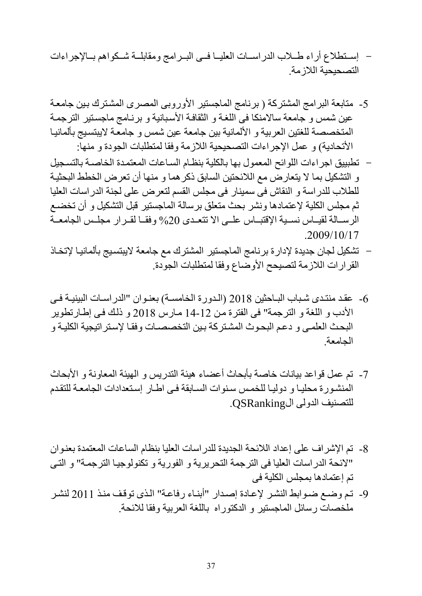- إستطلاع أراء طللب الدراسلت العليــا فــي البــرامج ومقابلــة شــكواهم بــالإجراءات التصحيحية اللاز مة
- 5- متابعة البرامج المشتركة ( برنامج الماجستير الأوروبي المصرى المشترك بين جامعة عين شمس و جامعة سالامنكا فى اللغة و الثقافة الأسبانية و برنـامج ماجستير الترجمـة المتخصصة للغتين العربية و الألمانية بين جامعة عين شمس و جامعة لايبتسيج بألمانيا الأتحادية) و عمل الإجراءات التصحيحية اللازمة وفقا لمتطلبات الجودة و منها:
- تطبييق اجراءات اللوائح المعمول بها بالكلية بنظلام السلاعات المعتملدة الباصلة بالتسلجيل و التشكيل بما ال يتعارض مع الالئحتين السابق ذكرهما و منها أن تعرض البطط البحثيلة للطلاب للدراسة و النقاش فى سمينار فى مجلس القسم لتعرض على لجنة الدراسات العليا ثم مجلس الكلية لإعتمادها ونشر بحث متعلق برسالة الماجستير قبل التشكيل و أن تخضع الرسللة لقيلس نسبية الإقتبلس علـي الا تتعدى 20% وفقــا لقـر ار مجلـس الجامعــة .2009/10/17
- تشكيل لجان جديدة لإدار ة بر نامج الماجستير المشتر ك مع جامعة لايبتسيج بألمانيـا لإتخـاذ القرارات اللازمة لتصبحح الأوضاع وفقا لمتطلبات الجودة.
- 6- عقد منتدى شباب البلحثين 2018 (الدورة الخامسة) بعنوان "الدراسات البينيـة فـي األدم و اللغة و الترجمة" فى الفترة ملن 11-17 ملارس 7118 و ذللك فلى إطلارتطوير البحث العلمي و دعم البحوث المشتركة بين التخصصات وفقا لإستراتيجية الكليـة و الجامعة.
- 7- تم عمل قواعد بيانات خاصة بأبحاث أعضاء هيئة التدريس و الهيئة المعاونة و الأبحاث المنشورة محليا و دوليا للخمس سنوات السابقة في اطار إستعدادات الجامعة للتقدم للتصنيف الدولي الQSRanking.
- 8- تم الإشر اف على إعداد اللائحة الجديدة للدر اسات العليا بنظام الساعات المعتمدة بعنوان "الئحة الدراسات العليا فى الترجمة التحريرية و الفورية و تكنولوجيلا الترجملة" و التلى تم إعتمادها بمجلس الكلية فى
- -9 تلم وضلع ضلوابط النشلر إلعلادة إصلدار "أبنلاء رفاعلة" اللذى توقلف منلذ 7111 لنشلر ملخصات رسائل الماجستير و الدكتوراه باللغة العربية وفقا للائحة.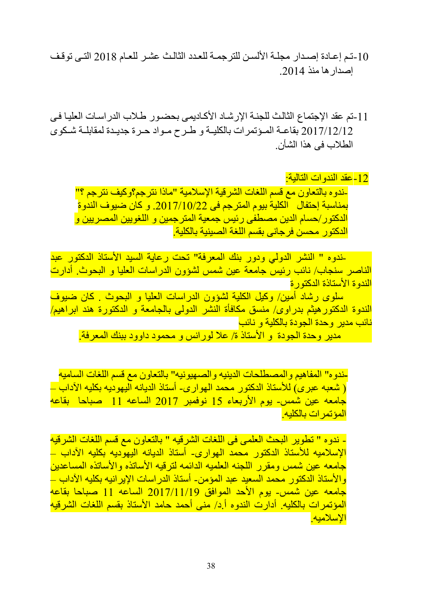- 10-تم إعـادة إصـدار مجلــة الألسـن للترجمــة للعـدد الثالـث عشـر للعـام 2018 التــى توقـف إصدار ها منذ 2014.
- 11 -تم عقد الإجتماع الثالث للجنـــة الإر شـــاد الأكــاديمى بـحضــو ر ــطــلاب الدر اســات الـعليــا فــى 2017/12/12 بقاعــة المـؤتمرات بالكليــة و طـرح مــواد حـرة جديـدة لمقابلــة شـكوى الطلاب فى هذا الشأن

-17عقد الندوات التالية: -ندوه بالتعاون مع قسم اللغات الشرقية اإلسالمية "ماذا نترجم؟وكيف نترجم ؟" بمناسبة إحتفال الكلية بيوم المترجم فى .7112/11/77 و كان ضيوف الندوة الدكتور/حسام الدين مصطفى رئيس جمعية المترجمين و اللغويين المصريين و الدكتور محسن فرجاني بقسم اللغة الصبنية بالكلية.

 -ندوه " النشر الدولي ودور بنك المعرفة" تحت رعاية السيد األستاذ الدكتور عبد الناصر سنجام/ نائب رئيس جامعة عين شمس لشؤون الدراسات العليا و البحوث. أدارت الندوة األستاذة الدكتورة

 سلوى رشاد أمين/ وكيل الكلية لشؤون الدراسات العليا و البحوث . كان ضيوف الندوة الدكتورهيثم بدراوى/ منسق مكافأة النشر الدولى بالجامعة و الدكتورة هند ابراهيم/ نائب مدير وحدة الجودة بالكلية و نائب

مدير وحدة الجودة و األستاذ ة/ عال لورانس و محمود داوود ببنك المعرفة.

-ندو ه" المفاهيم و المصطلحات الدينيه و الصمهيونيه" بالتعاون مع قسم اللغات الساميه <u>( شعبه عبرى) للأستاذ الدكتور محمد الهوارى- أستاذ الديانه اليهوديه بكليه الآداب –</u> جامعه عين شمس- يوم األربعاء 12 نوفمبر 7112 الساعه 11 صباحا بقاعه المؤتمرات بالكليه.

- ندوه " تطوير البحث العلمى فى اللغات الشرقيه " بالتعاون مع قسم اللغات الشرقيه الإسلاميه للأستاذ الدكتور محمد الهوارى- أستاذ الديانه اليهوديه بكليه الآداب – جامعه عين شمس ومقرر اللجنه العلميه الدائمه لترقيه الأساتذه والأساتذه المساعدين والأستاذ الدكتور محمد السعيد عبد المؤمن- أستاذ الدراسات الإيرانيه بكليه الآداب – جامعه عين شمس- يوم األحد الموافق 7112/11/19 الساعه 11 صباحا بقاعه المؤتمرات بالكليه. أدارت الندوه أ.د/ منى أحمد حامد األستاذ بقسم اللغات الشرقيه اإلسالميه.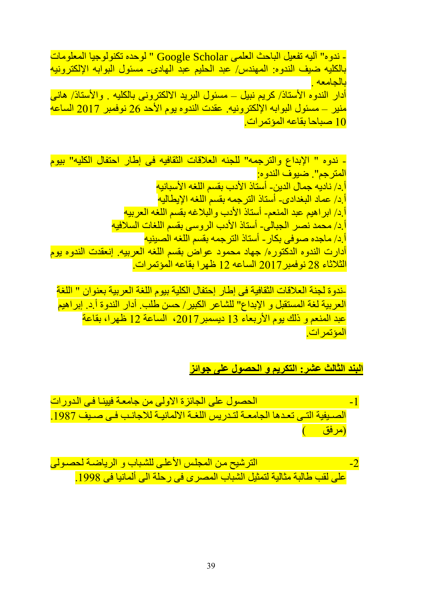- ندوه" آليه تفعيل الباحث العلمي Google Scholar " لوحده تكنولوجيا المعلومات بالكليه ضيف الندوه: المهندس/ عبد الحليم عبد الهادى- مسئول البوابه اإللكترونيه بالجامعه . أدار الندوه الأستاذ/ كريم نبيل – مسئول البريد الالكتروني بالكليه <sub>-</sub> والأستاذ/ هاني منير – مسئول البوابه الإلكترونيه. عقدت الندوه يوم الأحد 26 نوفمبر 2017 الساعه

11 صباحا بقاعه المؤتمرات.

- ندوه " اإلبداع والترجمه" للجنه العالقات الثقافيه فى إطار احتفال الكليه" بيوم المترجم". ضيوف الندوه: أ.د/ ناديه جمال الدين- أستاذ الأدب بقسم اللغه الأسبانيه أ.د/ عماد البغدادى- أستاذ الترجمه بقسم اللغه اإليطاليه أ.د/ ابر اهيم عبد المنعم- أستاذ الأدب و البلاغه بقسم اللغه العربيه أ.د/ محمد نصر الجبالى- أستاذ الأدب الروسى بقسم اللغات السلافيه أ.د/ ماجده صوفى بكار - أستاذ الترجمه بقسم اللغه الصبينيه أدارت الندوه الدكتوره/ جهاد محمود عواض بقسم اللغه العربيه. إنعقدت الندوه يوم الثالثاء 78 نوفمبر7112 الساعه 17 ظهرا بقاعه المؤتمرات.

-ندوة لجنة العالقات الثقافية فى إطار إحتفال الكلية بيوم اللغة العربية بعنوان " اللغة العربية لغة المستقبل و اإلبداع" للشاعر الكبير/ حسن طلب. أدار الندوة أ.د. إبراهيم عبد المنعم و ذلك يوم الأربعاء 13 ديسمبر 2017، الساعة 12 ظهرا، بقاعة ا<mark>لمؤتمرات</mark>.

**البند الثالث عشر: التكريم و الحصول على جوائز**

<mark>1 - مستقول على الجائزة الاولى من جامعة فيينا في الدورات</mark> الصيفية التي تعدها الجامعة لتدريس اللغية الالمانيية للاجانب في صيف 1987. <mark>(مرفق )</mark>

<u>-</u>7 الترشيح من المجلس الأعلى للشباب و الرياضة لحصولي -1 على لقب طالبة مثالية لتمثيل الشباب المصر ي في رحلة الى ألمانيا في 1998.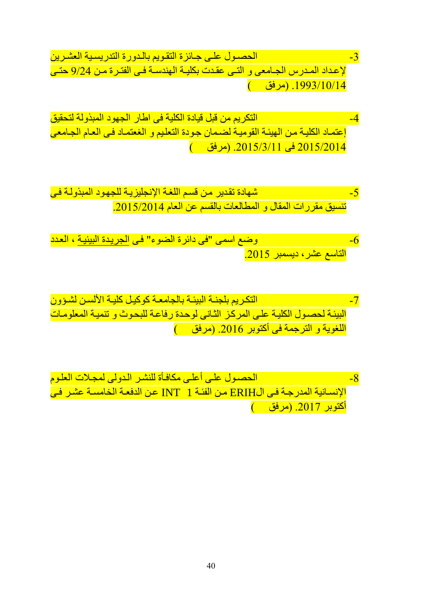- 3- الحصدول علي جائزة التقويم بالدورة التدريسية العشرين -13- الحصدول علي لإعداد المدرس الجلمعى و التلى عقدت بكليـة الهندسـة فـي الفتـرة مـن 9/24 حتـي  $($ .1993/10/14 (مرفق)
- -1 التكريم من قبل قيادة الكلية فى اطار الجهود المبذولة لتحقيق إعتملاد الكليلة ملن الهيئلة القوميلة لضلمان جلودة التعلليم و الغعتملاد فلى العلام الجلامعى 7112/7111 فى .7112/1/11 )مرفق (
- 5- شهادة تقدير من قسم اللغة الإنجليزيلة للجهود المبذولية في تنسيق مقررات المقال و المطالعات بالقسم عن العام 2015/2014.
- -6 وضع اسمى "فى دائرة الضوء" فلى الجريلدة البيئيلة ، العلدد التاسع عشر، ديسمبر .7112
- -2 التكلريم بلجنلة البيئلة بالجامعلة كوكيلل كليلة األلسلن لشلؤون البيئة لحصول الكلية على المركز الثاني لوحدة رفاعة للبحوث و تنمية المعلومات اللغوية و الترجمة في أكتوبر 2016. (مرفق )
- -8 الح لول عللى أعللى مكافلمة للنشلر اللدولى لمجلالت العللوم اإلنسلانية المدرجلة فلى الERIH ملن الفئلة 1 INT علن الدفعلة البامسلة عشلر فلى <mark>أكتوبر 2017. (مرفق - )</mark>